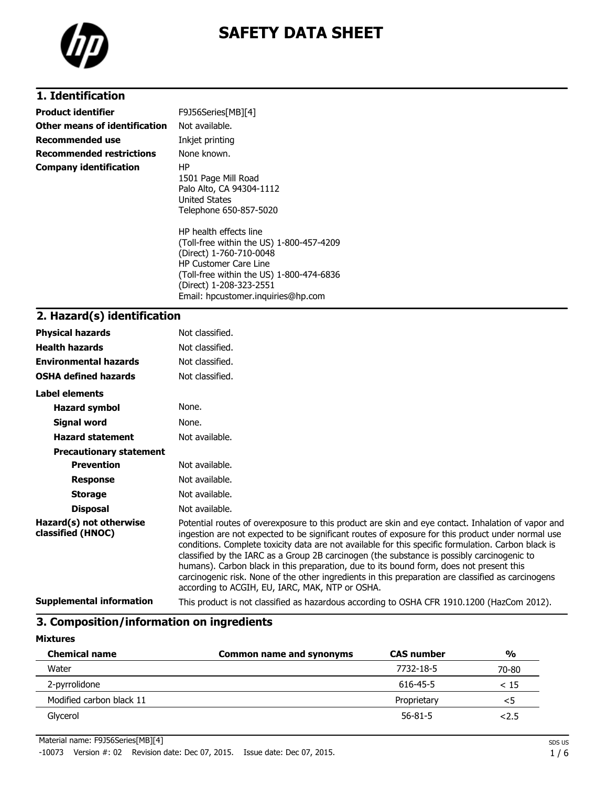

# **SAFETY DATA SHEET**

# **1. Identification**

| <b>Product identifier</b>       | F9J56Series[MB][4]                                                                                                                                                                                   |
|---------------------------------|------------------------------------------------------------------------------------------------------------------------------------------------------------------------------------------------------|
| Other means of identification   | Not available.                                                                                                                                                                                       |
| <b>Recommended use</b>          | Inkjet printing                                                                                                                                                                                      |
| <b>Recommended restrictions</b> | None known.                                                                                                                                                                                          |
| <b>Company identification</b>   | HP<br>1501 Page Mill Road<br>Palo Alto, CA 94304-1112<br><b>United States</b><br>Telephone 650-857-5020                                                                                              |
|                                 | HP health effects line<br>(Toll-free within the US) 1-800-457-4209<br>(Direct) 1-760-710-0048<br><b>HP Customer Care Line</b><br>(Toll-free within the US) 1-800-474-6836<br>(Direct) 1-208-323-2551 |

Email: hpcustomer.inquiries@hp.com

# **2. Hazard(s) identification**

| <b>Physical hazards</b>                      | Not classified.                                                                                                                                                                                                                                                                                                                                                                                                                                                                                                                                                                                                                                                  |
|----------------------------------------------|------------------------------------------------------------------------------------------------------------------------------------------------------------------------------------------------------------------------------------------------------------------------------------------------------------------------------------------------------------------------------------------------------------------------------------------------------------------------------------------------------------------------------------------------------------------------------------------------------------------------------------------------------------------|
| <b>Health hazards</b>                        | Not classified.                                                                                                                                                                                                                                                                                                                                                                                                                                                                                                                                                                                                                                                  |
| <b>Environmental hazards</b>                 | Not classified.                                                                                                                                                                                                                                                                                                                                                                                                                                                                                                                                                                                                                                                  |
| <b>OSHA defined hazards</b>                  | Not classified.                                                                                                                                                                                                                                                                                                                                                                                                                                                                                                                                                                                                                                                  |
| <b>Label elements</b>                        |                                                                                                                                                                                                                                                                                                                                                                                                                                                                                                                                                                                                                                                                  |
| <b>Hazard symbol</b>                         | None.                                                                                                                                                                                                                                                                                                                                                                                                                                                                                                                                                                                                                                                            |
| Signal word                                  | None.                                                                                                                                                                                                                                                                                                                                                                                                                                                                                                                                                                                                                                                            |
| <b>Hazard statement</b>                      | Not available.                                                                                                                                                                                                                                                                                                                                                                                                                                                                                                                                                                                                                                                   |
| <b>Precautionary statement</b>               |                                                                                                                                                                                                                                                                                                                                                                                                                                                                                                                                                                                                                                                                  |
| <b>Prevention</b>                            | Not available.                                                                                                                                                                                                                                                                                                                                                                                                                                                                                                                                                                                                                                                   |
| <b>Response</b>                              | Not available.                                                                                                                                                                                                                                                                                                                                                                                                                                                                                                                                                                                                                                                   |
| <b>Storage</b>                               | Not available.                                                                                                                                                                                                                                                                                                                                                                                                                                                                                                                                                                                                                                                   |
| <b>Disposal</b>                              | Not available.                                                                                                                                                                                                                                                                                                                                                                                                                                                                                                                                                                                                                                                   |
| Hazard(s) not otherwise<br>classified (HNOC) | Potential routes of overexposure to this product are skin and eye contact. Inhalation of vapor and<br>ingestion are not expected to be significant routes of exposure for this product under normal use<br>conditions. Complete toxicity data are not available for this specific formulation. Carbon black is<br>classified by the IARC as a Group 2B carcinogen (the substance is possibly carcinogenic to<br>humans). Carbon black in this preparation, due to its bound form, does not present this<br>carcinogenic risk. None of the other ingredients in this preparation are classified as carcinogens<br>according to ACGIH, EU, IARC, MAK, NTP or OSHA. |
| <b>Supplemental information</b>              | This product is not classified as hazardous according to OSHA CFR 1910.1200 (HazCom 2012).                                                                                                                                                                                                                                                                                                                                                                                                                                                                                                                                                                       |

# **3. Composition/information on ingredients**

### **Mixtures**

| <b>Chemical name</b>     | Common name and synonyms | <b>CAS number</b> | $\frac{0}{0}$ |
|--------------------------|--------------------------|-------------------|---------------|
| Water                    |                          | 7732-18-5         | 70-80         |
| 2-pyrrolidone            |                          | 616-45-5          | < 15          |
| Modified carbon black 11 |                          | Proprietary       | <5            |
| Glycerol                 |                          | $56 - 81 - 5$     | 2.5           |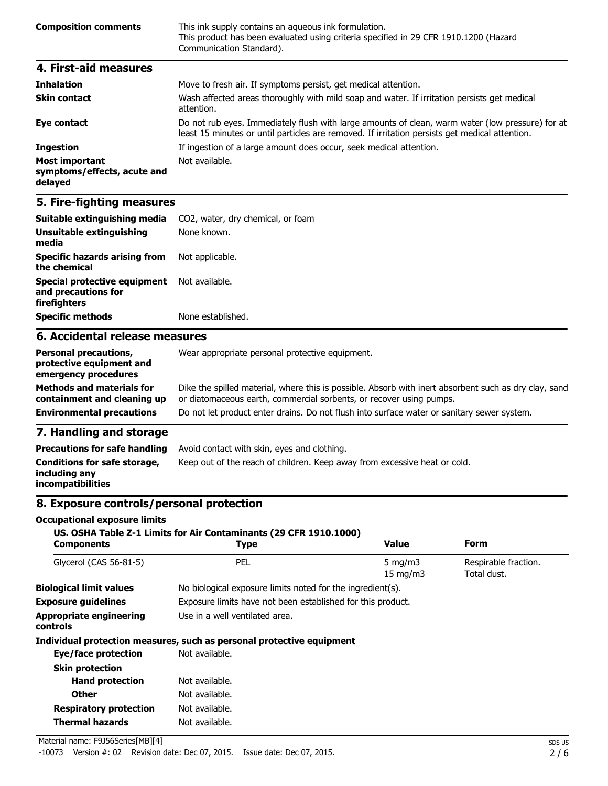| <b>Composition comments</b> | This ink supply contains an aqueous ink formulation.<br>This product has been evaluated using criteria specified in 29 CFR 1910.1200 (Hazard<br>Communication Standard). |
|-----------------------------|--------------------------------------------------------------------------------------------------------------------------------------------------------------------------|
| 4. First-aid measures       |                                                                                                                                                                          |

| <b>Inhalation</b>                                               | Move to fresh air. If symptoms persist, get medical attention.                                                                                                                                     |
|-----------------------------------------------------------------|----------------------------------------------------------------------------------------------------------------------------------------------------------------------------------------------------|
| <b>Skin contact</b>                                             | Wash affected areas thoroughly with mild soap and water. If irritation persists get medical<br>attention.                                                                                          |
| Eye contact                                                     | Do not rub eyes. Immediately flush with large amounts of clean, warm water (low pressure) for at<br>least 15 minutes or until particles are removed. If irritation persists get medical attention. |
| <b>Ingestion</b>                                                | If ingestion of a large amount does occur, seek medical attention.                                                                                                                                 |
| <b>Most important</b><br>symptoms/effects, acute and<br>delayed | Not available.                                                                                                                                                                                     |

# **5. Fire-fighting measures**

| Suitable extinguishing media                                                     | CO2, water, dry chemical, or foam                                                                                                                                            |  |  |  |
|----------------------------------------------------------------------------------|------------------------------------------------------------------------------------------------------------------------------------------------------------------------------|--|--|--|
| Unsuitable extinguishing<br>media                                                | None known.<br>Not applicable.                                                                                                                                               |  |  |  |
| <b>Specific hazards arising from</b><br>the chemical                             |                                                                                                                                                                              |  |  |  |
| Special protective equipment<br>and precautions for<br>firefighters              | Not available.                                                                                                                                                               |  |  |  |
| <b>Specific methods</b>                                                          | None established.                                                                                                                                                            |  |  |  |
| 6. Accidental release measures                                                   |                                                                                                                                                                              |  |  |  |
| <b>Personal precautions,</b><br>protective equipment and<br>emergency procedures | Wear appropriate personal protective equipment.                                                                                                                              |  |  |  |
| <b>Methods and materials for</b><br>containment and cleaning up                  | Dike the spilled material, where this is possible. Absorb with inert absorbent such as dry clay, sand<br>or diatomaceous earth, commercial sorbents, or recover using pumps. |  |  |  |
| <b>Environmental precautions</b>                                                 | Do not let product enter drains. Do not flush into surface water or sanitary sewer system.                                                                                   |  |  |  |

### **7. Handling and storage**

| <b>Precautions for safe handling</b>                                      | Avoid contact with skin, eyes and clothing.                               |
|---------------------------------------------------------------------------|---------------------------------------------------------------------------|
| Conditions for safe storage,<br>including any<br><i>incompatibilities</i> | Keep out of the reach of children. Keep away from excessive heat or cold. |

# **8. Exposure controls/personal protection**

#### **Occupational exposure limits**

#### **US. OSHA Table Z-1 Limits for Air Contaminants (29 CFR 1910.1000)**

| <b>Components</b>                          | <b>Type</b>                                                           | <b>Value</b>                    | Form                                |
|--------------------------------------------|-----------------------------------------------------------------------|---------------------------------|-------------------------------------|
| Glycerol (CAS 56-81-5)                     | PEL                                                                   | $5 \text{ mg/m}$<br>15 mg/m $3$ | Respirable fraction.<br>Total dust. |
| <b>Biological limit values</b>             | No biological exposure limits noted for the ingredient(s).            |                                 |                                     |
| <b>Exposure quidelines</b>                 | Exposure limits have not been established for this product.           |                                 |                                     |
| <b>Appropriate engineering</b><br>controls | Use in a well ventilated area.                                        |                                 |                                     |
|                                            | Individual protection measures, such as personal protective equipment |                                 |                                     |
| <b>Eye/face protection</b>                 | Not available.                                                        |                                 |                                     |
| <b>Skin protection</b>                     |                                                                       |                                 |                                     |
| <b>Hand protection</b>                     | Not available.                                                        |                                 |                                     |
| <b>Other</b>                               | Not available.                                                        |                                 |                                     |
| <b>Respiratory protection</b>              | Not available.                                                        |                                 |                                     |
| <b>Thermal hazards</b>                     | Not available.                                                        |                                 |                                     |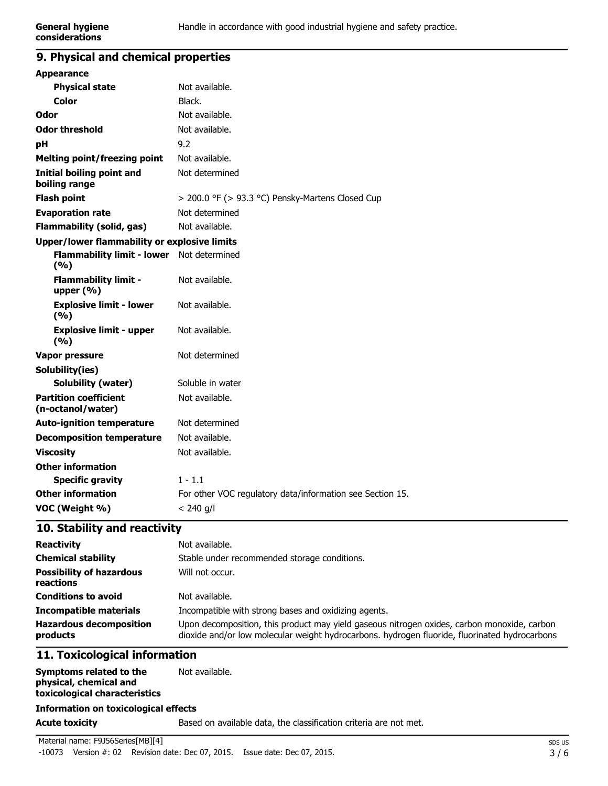# **9. Physical and chemical properties**

| <b>Appearance</b>                                   |                                                           |
|-----------------------------------------------------|-----------------------------------------------------------|
| <b>Physical state</b>                               | Not available.                                            |
| Color                                               | Black.                                                    |
| Odor                                                | Not available.                                            |
| <b>Odor threshold</b>                               | Not available.                                            |
| рH                                                  | 9.2                                                       |
| <b>Melting point/freezing point</b>                 | Not available.                                            |
| Initial boiling point and<br>boiling range          | Not determined                                            |
| <b>Flash point</b>                                  | > 200.0 °F (> 93.3 °C) Pensky-Martens Closed Cup          |
| <b>Evaporation rate</b>                             | Not determined                                            |
| <b>Flammability (solid, gas)</b>                    | Not available.                                            |
| <b>Upper/lower flammability or explosive limits</b> |                                                           |
| <b>Flammability limit - lower</b><br>(%)            | Not determined                                            |
| <b>Flammability limit -</b><br>upper $(% )$         | Not available.                                            |
| <b>Explosive limit - lower</b><br>(9/6)             | Not available.                                            |
| <b>Explosive limit - upper</b><br>(%)               | Not available.                                            |
| Vapor pressure                                      | Not determined                                            |
| Solubility(ies)                                     |                                                           |
| <b>Solubility (water)</b>                           | Soluble in water                                          |
| <b>Partition coefficient</b><br>(n-octanol/water)   | Not available.                                            |
| <b>Auto-ignition temperature</b>                    | Not determined                                            |
| <b>Decomposition temperature</b>                    | Not available.                                            |
| <b>Viscosity</b>                                    | Not available.                                            |
| <b>Other information</b>                            |                                                           |
| <b>Specific gravity</b>                             | $1 - 1.1$                                                 |
| <b>Other information</b>                            | For other VOC regulatory data/information see Section 15. |
| VOC (Weight %)                                      | $< 240$ g/l                                               |

### **10. Stability and reactivity**

| <b>Reactivity</b>                            | Not available.                                                                                                                                                                               |
|----------------------------------------------|----------------------------------------------------------------------------------------------------------------------------------------------------------------------------------------------|
| <b>Chemical stability</b>                    | Stable under recommended storage conditions.                                                                                                                                                 |
| <b>Possibility of hazardous</b><br>reactions | Will not occur.                                                                                                                                                                              |
| <b>Conditions to avoid</b>                   | Not available.                                                                                                                                                                               |
| <b>Incompatible materials</b>                | Incompatible with strong bases and oxidizing agents.                                                                                                                                         |
| <b>Hazardous decomposition</b><br>products   | Upon decomposition, this product may yield gaseous nitrogen oxides, carbon monoxide, carbon<br>dioxide and/or low molecular weight hydrocarbons. hydrogen fluoride, fluorinated hydrocarbons |

# **11. Toxicological information**

| Symptoms related to the              | Not available. |
|--------------------------------------|----------------|
| physical, chemical and               |                |
| toxicological characteristics        |                |
| Information on toxicological offects |                |

#### **Information on toxicological effects**

#### **Acute toxicity** Based on available data, the classification criteria are not met.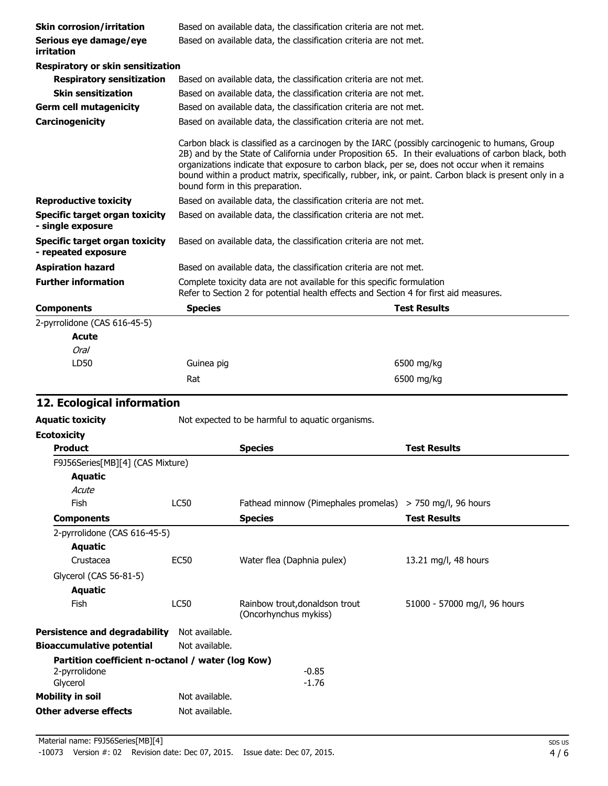| <b>Skin corrosion/irritation</b>                      | Based on available data, the classification criteria are not met. |                                                                                                                                                                                                                                                                                                                                            |                                                                                                     |
|-------------------------------------------------------|-------------------------------------------------------------------|--------------------------------------------------------------------------------------------------------------------------------------------------------------------------------------------------------------------------------------------------------------------------------------------------------------------------------------------|-----------------------------------------------------------------------------------------------------|
| Serious eye damage/eye<br>irritation                  | Based on available data, the classification criteria are not met. |                                                                                                                                                                                                                                                                                                                                            |                                                                                                     |
| Respiratory or skin sensitization                     |                                                                   |                                                                                                                                                                                                                                                                                                                                            |                                                                                                     |
| <b>Respiratory sensitization</b>                      | Based on available data, the classification criteria are not met. |                                                                                                                                                                                                                                                                                                                                            |                                                                                                     |
| <b>Skin sensitization</b>                             |                                                                   | Based on available data, the classification criteria are not met.                                                                                                                                                                                                                                                                          |                                                                                                     |
| <b>Germ cell mutagenicity</b>                         |                                                                   | Based on available data, the classification criteria are not met.                                                                                                                                                                                                                                                                          |                                                                                                     |
| Carcinogenicity                                       |                                                                   | Based on available data, the classification criteria are not met.                                                                                                                                                                                                                                                                          |                                                                                                     |
|                                                       |                                                                   | Carbon black is classified as a carcinogen by the IARC (possibly carcinogenic to humans, Group<br>organizations indicate that exposure to carbon black, per se, does not occur when it remains<br>bound within a product matrix, specifically, rubber, ink, or paint. Carbon black is present only in a<br>bound form in this preparation. | 2B) and by the State of California under Proposition 65. In their evaluations of carbon black, both |
| <b>Reproductive toxicity</b>                          |                                                                   | Based on available data, the classification criteria are not met.                                                                                                                                                                                                                                                                          |                                                                                                     |
| Specific target organ toxicity<br>- single exposure   |                                                                   | Based on available data, the classification criteria are not met.                                                                                                                                                                                                                                                                          |                                                                                                     |
| Specific target organ toxicity<br>- repeated exposure | Based on available data, the classification criteria are not met. |                                                                                                                                                                                                                                                                                                                                            |                                                                                                     |
| <b>Aspiration hazard</b>                              |                                                                   | Based on available data, the classification criteria are not met.                                                                                                                                                                                                                                                                          |                                                                                                     |
| <b>Further information</b>                            |                                                                   | Complete toxicity data are not available for this specific formulation<br>Refer to Section 2 for potential health effects and Section 4 for first aid measures.                                                                                                                                                                            |                                                                                                     |
| <b>Components</b>                                     | <b>Species</b>                                                    |                                                                                                                                                                                                                                                                                                                                            | <b>Test Results</b>                                                                                 |
| 2-pyrrolidone (CAS 616-45-5)                          |                                                                   |                                                                                                                                                                                                                                                                                                                                            |                                                                                                     |
| <b>Acute</b>                                          |                                                                   |                                                                                                                                                                                                                                                                                                                                            |                                                                                                     |
| Oral                                                  |                                                                   |                                                                                                                                                                                                                                                                                                                                            |                                                                                                     |
| LD50                                                  | Guinea pig                                                        |                                                                                                                                                                                                                                                                                                                                            | 6500 mg/kg                                                                                          |
|                                                       | Rat                                                               |                                                                                                                                                                                                                                                                                                                                            | 6500 mg/kg                                                                                          |
| 12. Ecological information                            |                                                                   |                                                                                                                                                                                                                                                                                                                                            |                                                                                                     |
| <b>Aquatic toxicity</b>                               |                                                                   | Not expected to be harmful to aquatic organisms.                                                                                                                                                                                                                                                                                           |                                                                                                     |
| <b>Ecotoxicity</b>                                    |                                                                   |                                                                                                                                                                                                                                                                                                                                            |                                                                                                     |
| Product                                               |                                                                   | <b>Species</b>                                                                                                                                                                                                                                                                                                                             | <b>Test Results</b>                                                                                 |
| F9J56Series[MB][4] (CAS Mixture)                      |                                                                   |                                                                                                                                                                                                                                                                                                                                            |                                                                                                     |
| <b>Aquatic</b>                                        |                                                                   |                                                                                                                                                                                                                                                                                                                                            |                                                                                                     |
| Acute                                                 |                                                                   |                                                                                                                                                                                                                                                                                                                                            |                                                                                                     |
| Fish                                                  | <b>LC50</b>                                                       | Fathead minnow (Pimephales promelas)                                                                                                                                                                                                                                                                                                       | > 750 mg/l, 96 hours                                                                                |
| <b>Components</b>                                     |                                                                   | <b>Species</b>                                                                                                                                                                                                                                                                                                                             | <b>Test Results</b>                                                                                 |
| 2-pyrrolidone (CAS 616-45-5)                          |                                                                   |                                                                                                                                                                                                                                                                                                                                            |                                                                                                     |
| <b>Aquatic</b>                                        |                                                                   |                                                                                                                                                                                                                                                                                                                                            |                                                                                                     |
| Crustacea                                             | <b>EC50</b>                                                       | Water flea (Daphnia pulex)                                                                                                                                                                                                                                                                                                                 | 13.21 mg/l, 48 hours                                                                                |
| Glycerol (CAS 56-81-5)                                |                                                                   |                                                                                                                                                                                                                                                                                                                                            |                                                                                                     |
| <b>Aquatic</b>                                        |                                                                   |                                                                                                                                                                                                                                                                                                                                            |                                                                                                     |
| Fish                                                  | LC50                                                              | Rainbow trout, donaldson trout<br>(Oncorhynchus mykiss)                                                                                                                                                                                                                                                                                    | 51000 - 57000 mg/l, 96 hours                                                                        |
| <b>Persistence and degradability</b>                  | Not available.                                                    |                                                                                                                                                                                                                                                                                                                                            |                                                                                                     |
| <b>Bioaccumulative potential</b>                      | Not available.                                                    |                                                                                                                                                                                                                                                                                                                                            |                                                                                                     |
| Partition coefficient n-octanol / water (log Kow)     |                                                                   |                                                                                                                                                                                                                                                                                                                                            |                                                                                                     |
| 2-pyrrolidone                                         |                                                                   | $-0.85$                                                                                                                                                                                                                                                                                                                                    |                                                                                                     |
| Glycerol                                              |                                                                   | $-1.76$                                                                                                                                                                                                                                                                                                                                    |                                                                                                     |
| <b>Mobility in soil</b>                               | Not available.                                                    |                                                                                                                                                                                                                                                                                                                                            |                                                                                                     |
| <b>Other adverse effects</b>                          | Not available.                                                    |                                                                                                                                                                                                                                                                                                                                            |                                                                                                     |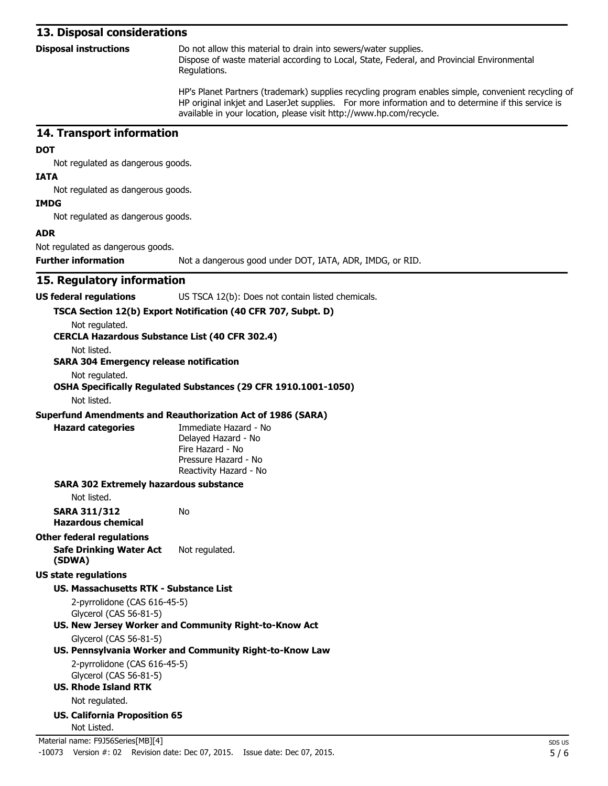#### **13. Disposal considerations**

| <b>Disposal instructions</b> | Do not allow this material to drain into sewers/water supplies.                            |
|------------------------------|--------------------------------------------------------------------------------------------|
|                              | Dispose of waste material according to Local, State, Federal, and Provincial Environmental |
|                              | Regulations.                                                                               |
|                              |                                                                                            |

HP's Planet Partners (trademark) supplies recycling program enables simple, convenient recycling of HP original inkjet and LaserJet supplies. For more information and to determine if this service is available in your location, please visit http://www.hp.com/recycle.

#### **14. Transport information**

#### **DOT**

Not regulated as dangerous goods.

#### **IATA**

Not regulated as dangerous goods.

#### **IMDG**

Not regulated as dangerous goods.

#### **ADR**

Not regulated as dangerous goods.

**Further information** Not a dangerous good under DOT, IATA, ADR, IMDG, or RID.

#### **15. Regulatory information**

**US federal regulations** US TSCA 12(b): Does not contain listed chemicals.

#### **TSCA Section 12(b) Export Notification (40 CFR 707, Subpt. D)**

Not regulated.

#### **CERCLA Hazardous Substance List (40 CFR 302.4)**

Not listed.

#### **SARA 304 Emergency release notification**

Not regulated.

#### **OSHA Specifically Regulated Substances (29 CFR 1910.1001-1050)**

Not listed.

#### **Superfund Amendments and Reauthorization Act of 1986 (SARA)**

No

| lazard categorie |  |
|------------------|--|
|                  |  |
|                  |  |

**Hazard categories** Immediate Hazard - No Delayed Hazard - No Fire Hazard - No Pressure Hazard - No Reactivity Hazard - No

#### **SARA 302 Extremely hazardous substance**

Not listed.

**SARA 311/312 Hazardous chemical**

#### **Other federal regulations**

#### **Safe Drinking Water Act (SDWA)** Not regulated.

**US state regulations**

#### **US. Massachusetts RTK - Substance List**

2-pyrrolidone (CAS 616-45-5) Glycerol (CAS 56-81-5)

# **US. New Jersey Worker and Community Right-to-Know Act**

Glycerol (CAS 56-81-5)

# **US. Pennsylvania Worker and Community Right-to-Know Law**

2-pyrrolidone (CAS 616-45-5) Glycerol (CAS 56-81-5)

**US. Rhode Island RTK**

Not regulated.

**US. California Proposition 65** Not Listed.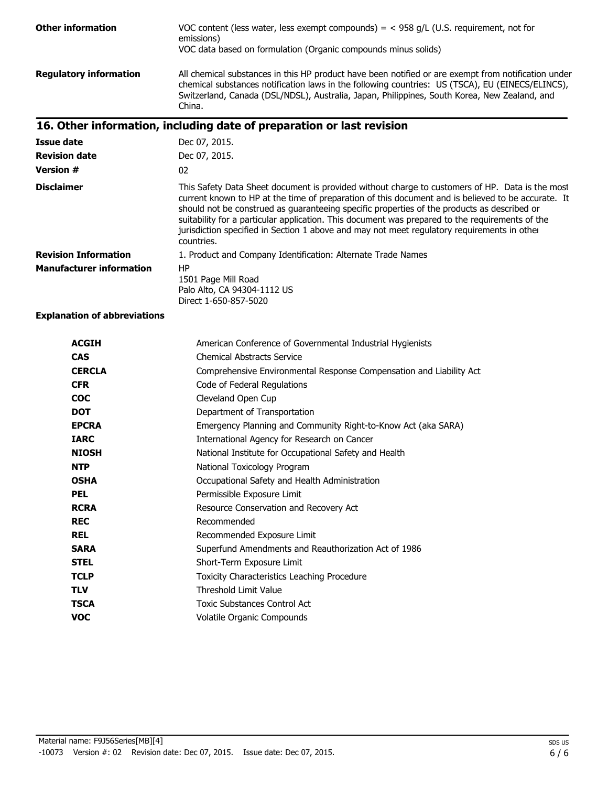| <b>Other information</b>        | VOC content (less water, less exempt compounds) = $<$ 958 g/L (U.S. requirement, not for<br>emissions)<br>VOC data based on formulation (Organic compounds minus solids)                                                                                                                                                                                                                                                                                                                                             |
|---------------------------------|----------------------------------------------------------------------------------------------------------------------------------------------------------------------------------------------------------------------------------------------------------------------------------------------------------------------------------------------------------------------------------------------------------------------------------------------------------------------------------------------------------------------|
| <b>Regulatory information</b>   | All chemical substances in this HP product have been notified or are exempt from notification under<br>chemical substances notification laws in the following countries: US (TSCA), EU (EINECS/ELINCS),<br>Switzerland, Canada (DSL/NDSL), Australia, Japan, Philippines, South Korea, New Zealand, and<br>China.                                                                                                                                                                                                    |
|                                 | 16. Other information, including date of preparation or last revision                                                                                                                                                                                                                                                                                                                                                                                                                                                |
| <b>Issue date</b>               | Dec 07, 2015.                                                                                                                                                                                                                                                                                                                                                                                                                                                                                                        |
| <b>Revision date</b>            | Dec 07, 2015.                                                                                                                                                                                                                                                                                                                                                                                                                                                                                                        |
| <b>Version #</b>                | 02                                                                                                                                                                                                                                                                                                                                                                                                                                                                                                                   |
| <b>Disclaimer</b>               | This Safety Data Sheet document is provided without charge to customers of HP. Data is the most<br>current known to HP at the time of preparation of this document and is believed to be accurate. It<br>should not be construed as guaranteeing specific properties of the products as described or<br>suitability for a particular application. This document was prepared to the requirements of the<br>jurisdiction specified in Section 1 above and may not meet regulatory requirements in other<br>countries. |
| <b>Revision Information</b>     | 1. Product and Company Identification: Alternate Trade Names                                                                                                                                                                                                                                                                                                                                                                                                                                                         |
| <b>Manufacturer information</b> | <b>HP</b><br>1501 Page Mill Road<br>Palo Alto, CA 94304-1112 US<br>Direct 1-650-857-5020                                                                                                                                                                                                                                                                                                                                                                                                                             |

**Explanation of abbreviations**

| <b>ACGIH</b>  | American Conference of Governmental Industrial Hygienists           |
|---------------|---------------------------------------------------------------------|
| <b>CAS</b>    | <b>Chemical Abstracts Service</b>                                   |
| <b>CERCLA</b> | Comprehensive Environmental Response Compensation and Liability Act |
| <b>CFR</b>    | Code of Federal Regulations                                         |
| <b>COC</b>    | Cleveland Open Cup                                                  |
| <b>DOT</b>    | Department of Transportation                                        |
| <b>EPCRA</b>  | Emergency Planning and Community Right-to-Know Act (aka SARA)       |
| <b>IARC</b>   | International Agency for Research on Cancer                         |
| <b>NIOSH</b>  | National Institute for Occupational Safety and Health               |
| <b>NTP</b>    | National Toxicology Program                                         |
| <b>OSHA</b>   | Occupational Safety and Health Administration                       |
| <b>PEL</b>    | Permissible Exposure Limit                                          |
| <b>RCRA</b>   | Resource Conservation and Recovery Act                              |
| <b>REC</b>    | Recommended                                                         |
| <b>REL</b>    | Recommended Exposure Limit                                          |
| <b>SARA</b>   | Superfund Amendments and Reauthorization Act of 1986                |
| <b>STEL</b>   | Short-Term Exposure Limit                                           |
| <b>TCLP</b>   | Toxicity Characteristics Leaching Procedure                         |
| <b>TLV</b>    | <b>Threshold Limit Value</b>                                        |
| <b>TSCA</b>   | <b>Toxic Substances Control Act</b>                                 |
| <b>VOC</b>    | Volatile Organic Compounds                                          |
|               |                                                                     |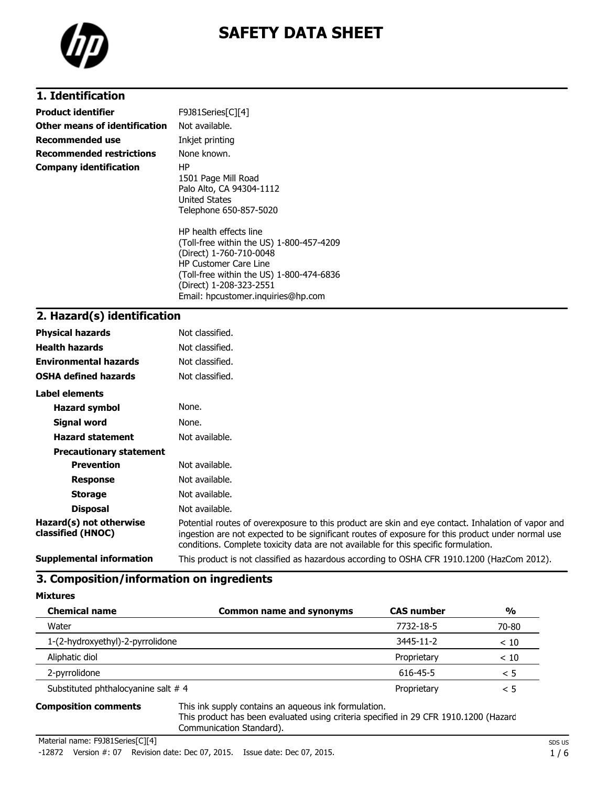

# **SAFETY DATA SHEET**

# **1. Identification**

| <b>Product identifier</b>       | F9J81Series[C][4]                                                                                                                                                                                                                          |
|---------------------------------|--------------------------------------------------------------------------------------------------------------------------------------------------------------------------------------------------------------------------------------------|
| Other means of identification   | Not available.                                                                                                                                                                                                                             |
| Recommended use                 | Inkjet printing                                                                                                                                                                                                                            |
| <b>Recommended restrictions</b> | None known.                                                                                                                                                                                                                                |
| <b>Company identification</b>   | HP.<br>1501 Page Mill Road<br>Palo Alto, CA 94304-1112<br><b>United States</b><br>Telephone 650-857-5020                                                                                                                                   |
|                                 | HP health effects line<br>(Toll-free within the US) 1-800-457-4209<br>(Direct) 1-760-710-0048<br><b>HP Customer Care Line</b><br>(Toll-free within the US) 1-800-474-6836<br>(Direct) 1-208-323-2551<br>Email: hpcustomer.inguiries@hp.com |

#### **2. Hazard(s) identification**

| <b>Physical hazards</b>                      | Not classified.                                                                                                                                                                                                                                                                                |
|----------------------------------------------|------------------------------------------------------------------------------------------------------------------------------------------------------------------------------------------------------------------------------------------------------------------------------------------------|
| <b>Health hazards</b>                        | Not classified.                                                                                                                                                                                                                                                                                |
| <b>Environmental hazards</b>                 | Not classified.                                                                                                                                                                                                                                                                                |
| <b>OSHA defined hazards</b>                  | Not classified.                                                                                                                                                                                                                                                                                |
| Label elements                               |                                                                                                                                                                                                                                                                                                |
| <b>Hazard symbol</b>                         | None.                                                                                                                                                                                                                                                                                          |
| Signal word                                  | None.                                                                                                                                                                                                                                                                                          |
| <b>Hazard statement</b>                      | Not available.                                                                                                                                                                                                                                                                                 |
| <b>Precautionary statement</b>               |                                                                                                                                                                                                                                                                                                |
| <b>Prevention</b>                            | Not available.                                                                                                                                                                                                                                                                                 |
| <b>Response</b>                              | Not available.                                                                                                                                                                                                                                                                                 |
| <b>Storage</b>                               | Not available.                                                                                                                                                                                                                                                                                 |
| <b>Disposal</b>                              | Not available.                                                                                                                                                                                                                                                                                 |
| Hazard(s) not otherwise<br>classified (HNOC) | Potential routes of overexposure to this product are skin and eye contact. Inhalation of vapor and<br>ingestion are not expected to be significant routes of exposure for this product under normal use<br>conditions. Complete toxicity data are not available for this specific formulation. |
| <b>Supplemental information</b>              | This product is not classified as hazardous according to OSHA CFR 1910.1200 (HazCom 2012).                                                                                                                                                                                                     |

### **3. Composition/information on ingredients**

| <b>Chemical name</b>               | <b>Common name and synonyms</b> | <b>CAS number</b> | $\frac{0}{0}$ |
|------------------------------------|---------------------------------|-------------------|---------------|
| Water                              |                                 | 7732-18-5         | 70-80         |
| 1-(2-hydroxyethyl)-2-pyrrolidone   |                                 | 3445-11-2         | < 10          |
| Aliphatic diol                     |                                 | Proprietary       | < 10          |
| 2-pyrrolidone                      |                                 | 616-45-5          | < 5           |
| Substituted phthalocyanine salt #4 |                                 | Proprietary       | $\leq 5$      |
|                                    |                                 |                   |               |

**Composition comments** This ink supply contains an aqueous ink formulation. This product has been evaluated using criteria specified in 29 CFR 1910.1200 (Hazard Communication Standard).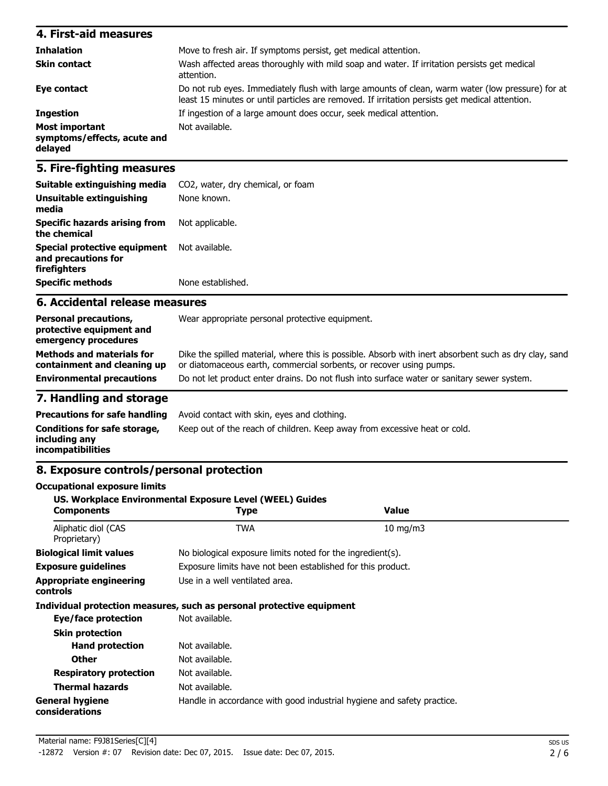| 4. First-aid measures                                           |                                                                                                                                                                                                    |
|-----------------------------------------------------------------|----------------------------------------------------------------------------------------------------------------------------------------------------------------------------------------------------|
| <b>Inhalation</b>                                               | Move to fresh air. If symptoms persist, get medical attention.                                                                                                                                     |
| <b>Skin contact</b>                                             | Wash affected areas thoroughly with mild soap and water. If irritation persists get medical<br>attention.                                                                                          |
| Eye contact                                                     | Do not rub eyes. Immediately flush with large amounts of clean, warm water (low pressure) for at<br>least 15 minutes or until particles are removed. If irritation persists get medical attention. |
| <b>Ingestion</b>                                                | If ingestion of a large amount does occur, seek medical attention.                                                                                                                                 |
| <b>Most important</b><br>symptoms/effects, acute and<br>delayed | Not available.                                                                                                                                                                                     |

#### **5. Fire-fighting measures**

| Suitable extinguishing media<br><b>Unsuitable extinguishing</b><br>media | CO2, water, dry chemical, or foam<br>None known. |
|--------------------------------------------------------------------------|--------------------------------------------------|
| Specific hazards arising from<br>the chemical                            | Not applicable.                                  |
| Special protective equipment<br>and precautions for<br>firefighters      | Not available.                                   |
| <b>Specific methods</b>                                                  | None established.                                |

#### **6. Accidental release measures**

| <b>Personal precautions,</b><br>protective equipment and<br>emergency procedures | Wear appropriate personal protective equipment.                                                                                                                              |
|----------------------------------------------------------------------------------|------------------------------------------------------------------------------------------------------------------------------------------------------------------------------|
| <b>Methods and materials for</b><br>containment and cleaning up                  | Dike the spilled material, where this is possible. Absorb with inert absorbent such as dry clay, sand<br>or diatomaceous earth, commercial sorbents, or recover using pumps. |
| <b>Environmental precautions</b>                                                 | Do not let product enter drains. Do not flush into surface water or sanitary sewer system.                                                                                   |

# **7. Handling and storage**

|                                                                    | <b>Precautions for safe handling</b> Avoid contact with skin, eyes and clothing. |
|--------------------------------------------------------------------|----------------------------------------------------------------------------------|
| Conditions for safe storage,<br>including anv<br>incompatibilities | Keep out of the reach of children. Keep away from excessive heat or cold.        |

#### **8. Exposure controls/personal protection**

# **Occupational exposure limits US. Workplace Environmental Exposure Level (WEEL) Guides Components Type Value** Aliphatic diol (CAS TWA 10 mg/m3 Proprietary) **Biological limit values** No biological exposure limits noted for the ingredient(s). **Exposure guidelines** Exposure limits have not been established for this product. **Appropriate engineering controls** Use in a well ventilated area. **Individual protection measures, such as personal protective equipment Eye/face protection** Not available. **Skin protection Hand protection** Not available. **Other** Not available. **Respiratory protection** Not available. **Thermal hazards** Not available. **General hygiene considerations** Handle in accordance with good industrial hygiene and safety practice.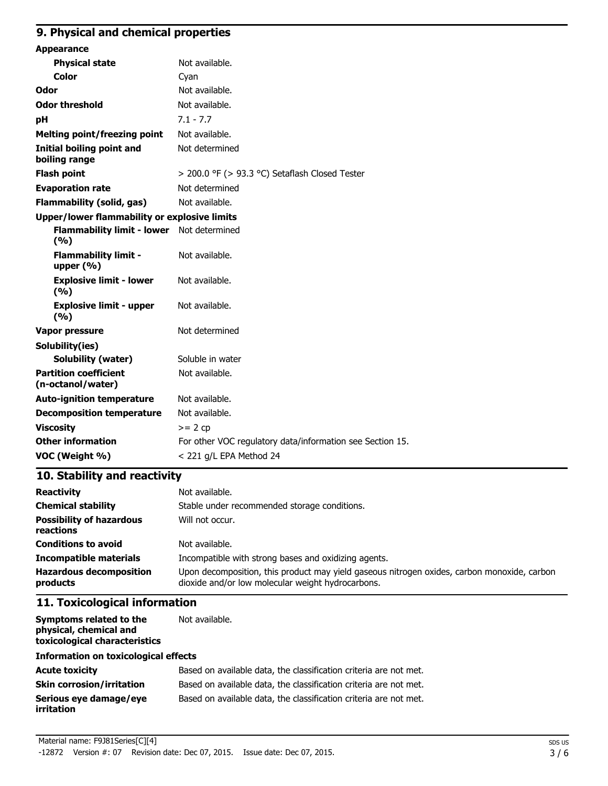# **9. Physical and chemical properties**

| <b>Appearance</b>                                 |                                                           |
|---------------------------------------------------|-----------------------------------------------------------|
| <b>Physical state</b>                             | Not available.                                            |
| Color                                             | Cyan                                                      |
| Odor                                              | Not available.                                            |
| <b>Odor threshold</b>                             | Not available.                                            |
| pH                                                | $7.1 - 7.7$                                               |
| <b>Melting point/freezing point</b>               | Not available.                                            |
| <b>Initial boiling point and</b><br>boiling range | Not determined                                            |
| <b>Flash point</b>                                | > 200.0 °F (> 93.3 °C) Setaflash Closed Tester            |
| <b>Evaporation rate</b>                           | Not determined                                            |
| <b>Flammability (solid, gas)</b>                  | Not available.                                            |
| Upper/lower flammability or explosive limits      |                                                           |
| Flammability limit - lower Not determined<br>(%)  |                                                           |
| <b>Flammability limit -</b><br>upper $(\% )$      | Not available.                                            |
| <b>Explosive limit - lower</b><br>(9/6)           | Not available.                                            |
| <b>Explosive limit - upper</b><br>(9/6)           | Not available.                                            |
| Vapor pressure                                    | Not determined                                            |
| Solubility(ies)                                   |                                                           |
| <b>Solubility (water)</b>                         | Soluble in water                                          |
| <b>Partition coefficient</b><br>(n-octanol/water) | Not available.                                            |
| <b>Auto-ignition temperature</b>                  | Not available.                                            |
| <b>Decomposition temperature</b>                  | Not available.                                            |
| <b>Viscosity</b>                                  | $>= 2 cp$                                                 |
| <b>Other information</b>                          | For other VOC regulatory data/information see Section 15. |
| VOC (Weight %)                                    | < 221 g/L EPA Method 24                                   |
|                                                   |                                                           |

# **10. Stability and reactivity**

| <b>Reactivity</b>                            | Not available.                                                                                                                                   |
|----------------------------------------------|--------------------------------------------------------------------------------------------------------------------------------------------------|
| <b>Chemical stability</b>                    | Stable under recommended storage conditions.                                                                                                     |
| <b>Possibility of hazardous</b><br>reactions | Will not occur.                                                                                                                                  |
| <b>Conditions to avoid</b>                   | Not available.                                                                                                                                   |
| Incompatible materials                       | Incompatible with strong bases and oxidizing agents.                                                                                             |
| <b>Hazardous decomposition</b><br>products   | Upon decomposition, this product may yield gaseous nitrogen oxides, carbon monoxide, carbon<br>dioxide and/or low molecular weight hydrocarbons. |

# **11. Toxicological information**

**Symptoms related to the physical, chemical and toxicological characteristics** Not available.

#### **Information on toxicological effects**

| <b>Acute toxicity</b>                       | Based on available data, the classification criteria are not met. |
|---------------------------------------------|-------------------------------------------------------------------|
| <b>Skin corrosion/irritation</b>            | Based on available data, the classification criteria are not met. |
| Serious eve damage/eve<br><i>irritation</i> | Based on available data, the classification criteria are not met. |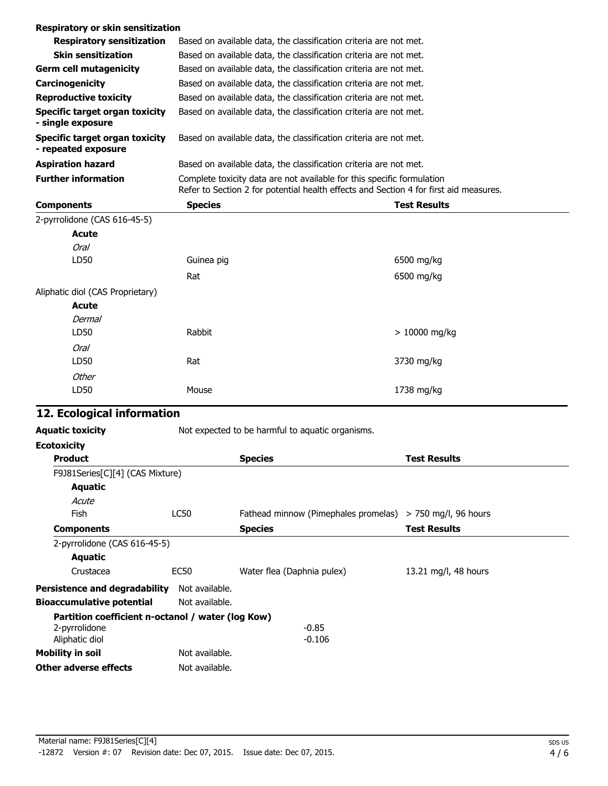| Respiratory or skin sensitization                     |                                                                                                                                                                 |                     |
|-------------------------------------------------------|-----------------------------------------------------------------------------------------------------------------------------------------------------------------|---------------------|
| <b>Respiratory sensitization</b>                      | Based on available data, the classification criteria are not met.                                                                                               |                     |
| <b>Skin sensitization</b>                             | Based on available data, the classification criteria are not met.                                                                                               |                     |
| <b>Germ cell mutagenicity</b>                         | Based on available data, the classification criteria are not met.                                                                                               |                     |
| Carcinogenicity                                       | Based on available data, the classification criteria are not met.                                                                                               |                     |
| <b>Reproductive toxicity</b>                          | Based on available data, the classification criteria are not met.                                                                                               |                     |
| Specific target organ toxicity<br>- single exposure   | Based on available data, the classification criteria are not met.                                                                                               |                     |
| Specific target organ toxicity<br>- repeated exposure | Based on available data, the classification criteria are not met.                                                                                               |                     |
| <b>Aspiration hazard</b>                              | Based on available data, the classification criteria are not met.                                                                                               |                     |
| <b>Further information</b>                            | Complete toxicity data are not available for this specific formulation<br>Refer to Section 2 for potential health effects and Section 4 for first aid measures. |                     |
|                                                       |                                                                                                                                                                 |                     |
| <b>Components</b>                                     | <b>Species</b>                                                                                                                                                  | <b>Test Results</b> |
| 2-pyrrolidone (CAS 616-45-5)                          |                                                                                                                                                                 |                     |
| Acute                                                 |                                                                                                                                                                 |                     |
| Oral                                                  |                                                                                                                                                                 |                     |
| LD50                                                  | Guinea pig                                                                                                                                                      | 6500 mg/kg          |
|                                                       | Rat                                                                                                                                                             | 6500 mg/kg          |
| Aliphatic diol (CAS Proprietary)                      |                                                                                                                                                                 |                     |
| <b>Acute</b>                                          |                                                                                                                                                                 |                     |
| Dermal                                                |                                                                                                                                                                 |                     |
| LD50                                                  | Rabbit                                                                                                                                                          | $>10000$ mg/kg      |

| cological information |       |            |
|-----------------------|-------|------------|
| LD50                  | Mouse | 1738 mg/kg |
| Other                 |       |            |
| LD50                  | Rat   | 3730 mg/kg |

# **12. Eq**

| <b>Aguatic toxicity</b> | Not expected to be harmful to aquatic organisms. |
|-------------------------|--------------------------------------------------|
| Ecotoxicity             |                                                  |

| <b>Product</b>                                    |                | <b>Species</b>                                            | <b>Test Results</b>  |
|---------------------------------------------------|----------------|-----------------------------------------------------------|----------------------|
| F9J81Series[C][4] (CAS Mixture)                   |                |                                                           |                      |
| Aquatic                                           |                |                                                           |                      |
| Acute                                             |                |                                                           |                      |
| Fish                                              | LC50           | Fathead minnow (Pimephales promelas) > 750 mg/l, 96 hours |                      |
| <b>Components</b>                                 |                | <b>Species</b>                                            | <b>Test Results</b>  |
| 2-pyrrolidone (CAS 616-45-5)                      |                |                                                           |                      |
| Aquatic                                           |                |                                                           |                      |
| Crustacea                                         | EC50           | Water flea (Daphnia pulex)                                | 13.21 mg/l, 48 hours |
| <b>Persistence and degradability</b>              | Not available. |                                                           |                      |
| <b>Bioaccumulative potential</b>                  | Not available. |                                                           |                      |
| Partition coefficient n-octanol / water (log Kow) |                |                                                           |                      |
| 2-pyrrolidone                                     |                | $-0.85$                                                   |                      |
| Aliphatic diol                                    |                | $-0.106$                                                  |                      |
| <b>Mobility in soil</b>                           | Not available. |                                                           |                      |
| Other adverse effects                             | Not available. |                                                           |                      |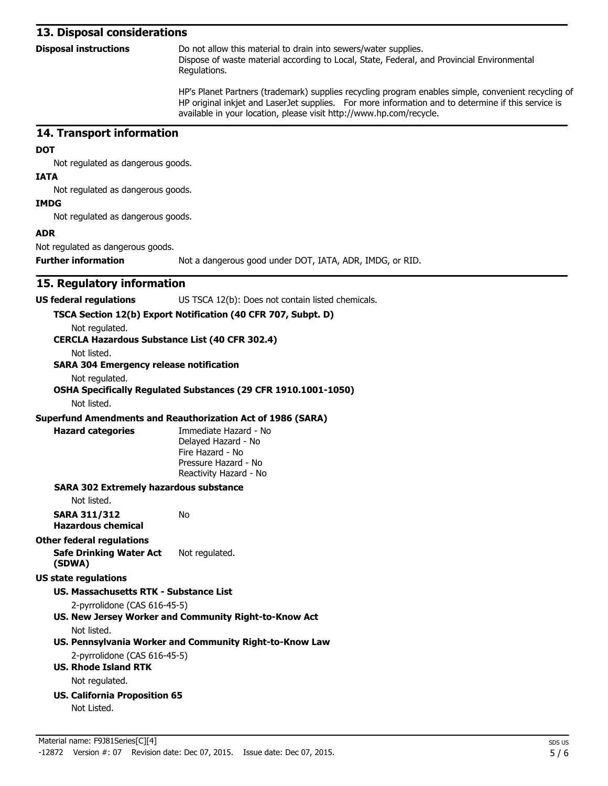#### **13. Disposal considerations**

| <b>Disposal instructions</b> | Do not allow this material to drain into sewers/water supplies.                            |  |  |
|------------------------------|--------------------------------------------------------------------------------------------|--|--|
|                              | Dispose of waste material according to Local, State, Federal, and Provincial Environmental |  |  |
|                              | Regulations.                                                                               |  |  |

HP's Planet Partners (trademark) supplies recycling program enables simple, convenient recycling of HP original inkjet and LaserJet supplies. For more information and to determine if this service is available in your location, please visit http://www.hp.com/recycle.

#### **14. Transport information**

#### **DOT**

Not regulated as dangerous goods.

#### **IATA**

Not regulated as dangerous goods.

#### **IMDG**

Not regulated as dangerous goods.

#### **ADR**

Not regulated as dangerous goods.

**Further information** Not a dangerous good under DOT, IATA, ADR, IMDG, or RID.

#### **15. Regulatory information**

**US federal regulations** US TSCA 12(b): Does not contain listed chemicals.

#### **TSCA Section 12(b) Export Notification (40 CFR 707, Subpt. D)**

Not regulated.

**CERCLA Hazardous Substance List (40 CFR 302.4)**

Not listed.

#### **SARA 304 Emergency release notification**

Not regulated.

#### **OSHA Specifically Regulated Substances (29 CFR 1910.1001-1050)**

Not listed.

#### **Superfund Amendments and Reauthorization Act of 1986 (SARA)**

**Hazard categories** Immediate Hazard - No Delayed Hazard - No Fire Hazard - No Pressure Hazard - No Reactivity Hazard - No

#### **SARA 302 Extremely hazardous substance**

Not listed.

**SARA 311/312** No

# **Hazardous chemical**

**Other federal regulations**

**Safe Drinking Water Act (SDWA)** Not regulated.

#### **US state regulations**

#### **US. Massachusetts RTK - Substance List**

- 2-pyrrolidone (CAS 616-45-5)
- **US. New Jersey Worker and Community Right-to-Know Act** Not listed.
- **US. Pennsylvania Worker and Community Right-to-Know Law**

# 2-pyrrolidone (CAS 616-45-5)

**US. Rhode Island RTK**

Not regulated.

**US. California Proposition 65**

Not Listed.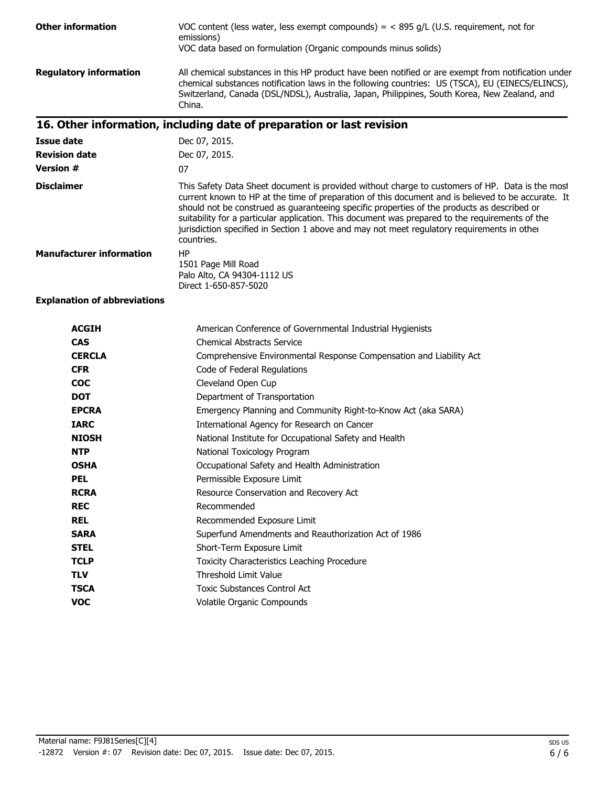| <b>Other information</b>            | VOC content (less water, less exempt compounds) = $<$ 895 g/L (U.S. requirement, not for<br>emissions)<br>VOC data based on formulation (Organic compounds minus solids)                                                                                                                                                                                                                                                                                                                                             |
|-------------------------------------|----------------------------------------------------------------------------------------------------------------------------------------------------------------------------------------------------------------------------------------------------------------------------------------------------------------------------------------------------------------------------------------------------------------------------------------------------------------------------------------------------------------------|
| <b>Regulatory information</b>       | All chemical substances in this HP product have been notified or are exempt from notification under<br>chemical substances notification laws in the following countries: US (TSCA), EU (EINECS/ELINCS),<br>Switzerland, Canada (DSL/NDSL), Australia, Japan, Philippines, South Korea, New Zealand, and<br>China.                                                                                                                                                                                                    |
|                                     | 16. Other information, including date of preparation or last revision                                                                                                                                                                                                                                                                                                                                                                                                                                                |
| <b>Issue date</b>                   | Dec 07, 2015.                                                                                                                                                                                                                                                                                                                                                                                                                                                                                                        |
| <b>Revision date</b>                | Dec 07, 2015.                                                                                                                                                                                                                                                                                                                                                                                                                                                                                                        |
| <b>Version #</b>                    | 07                                                                                                                                                                                                                                                                                                                                                                                                                                                                                                                   |
| <b>Disclaimer</b>                   | This Safety Data Sheet document is provided without charge to customers of HP. Data is the most<br>current known to HP at the time of preparation of this document and is believed to be accurate. It<br>should not be construed as guaranteeing specific properties of the products as described or<br>suitability for a particular application. This document was prepared to the requirements of the<br>jurisdiction specified in Section 1 above and may not meet regulatory requirements in other<br>countries. |
| <b>Manufacturer information</b>     | HP<br>1501 Page Mill Road<br>Palo Alto, CA 94304-1112 US<br>Direct 1-650-857-5020                                                                                                                                                                                                                                                                                                                                                                                                                                    |
| <b>Explanation of abbreviations</b> |                                                                                                                                                                                                                                                                                                                                                                                                                                                                                                                      |

| <b>ACGIH</b>  | American Conference of Governmental Industrial Hygienists           |
|---------------|---------------------------------------------------------------------|
| <b>CAS</b>    | <b>Chemical Abstracts Service</b>                                   |
| <b>CERCLA</b> | Comprehensive Environmental Response Compensation and Liability Act |
| <b>CFR</b>    | Code of Federal Regulations                                         |
| <b>COC</b>    | Cleveland Open Cup                                                  |
| <b>DOT</b>    | Department of Transportation                                        |
| <b>EPCRA</b>  | Emergency Planning and Community Right-to-Know Act (aka SARA)       |
| <b>TARC</b>   | International Agency for Research on Cancer                         |
| <b>NIOSH</b>  | National Institute for Occupational Safety and Health               |
| <b>NTP</b>    | National Toxicology Program                                         |
| <b>OSHA</b>   | Occupational Safety and Health Administration                       |
| <b>PEL</b>    | Permissible Exposure Limit                                          |
| <b>RCRA</b>   | Resource Conservation and Recovery Act                              |
| <b>REC</b>    | Recommended                                                         |
| <b>REL</b>    | Recommended Exposure Limit                                          |
| <b>SARA</b>   | Superfund Amendments and Reauthorization Act of 1986                |
| <b>STEL</b>   | Short-Term Exposure Limit                                           |
| <b>TCLP</b>   | Toxicity Characteristics Leaching Procedure                         |
| <b>TLV</b>    | Threshold Limit Value                                               |
| <b>TSCA</b>   | <b>Toxic Substances Control Act</b>                                 |
| <b>VOC</b>    | Volatile Organic Compounds                                          |
|               |                                                                     |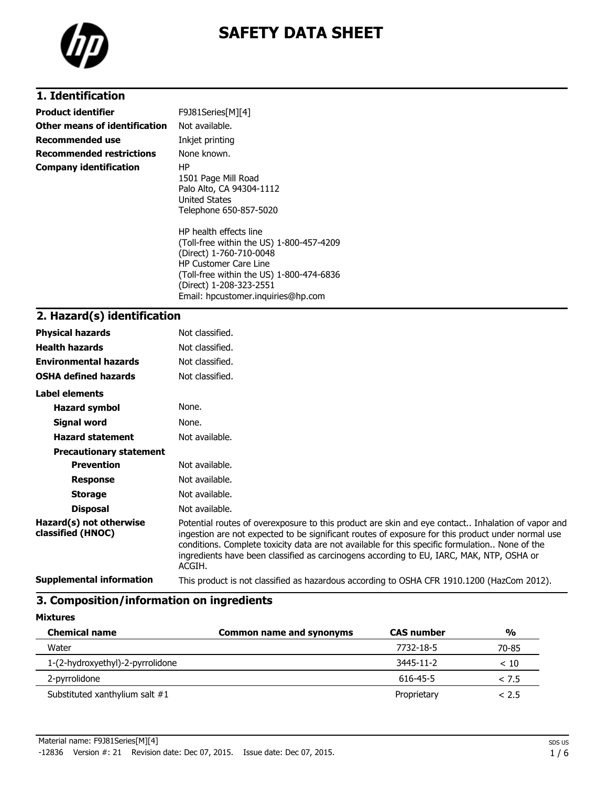

# **SAFETY DATA SHEET**

# **1. Identification**

| <b>Product identifier</b>       | F9J81Series[M][4]                                                                                                                                                                                                                          |
|---------------------------------|--------------------------------------------------------------------------------------------------------------------------------------------------------------------------------------------------------------------------------------------|
| Other means of identification   | Not available.                                                                                                                                                                                                                             |
| <b>Recommended use</b>          | Inkjet printing                                                                                                                                                                                                                            |
| <b>Recommended restrictions</b> | None known.                                                                                                                                                                                                                                |
| <b>Company identification</b>   | HP.<br>1501 Page Mill Road<br>Palo Alto, CA 94304-1112<br>United States<br>Telephone 650-857-5020                                                                                                                                          |
|                                 | HP health effects line<br>(Toll-free within the US) 1-800-457-4209<br>(Direct) 1-760-710-0048<br><b>HP Customer Care Line</b><br>(Toll-free within the US) 1-800-474-6836<br>(Direct) 1-208-323-2551<br>Email: hpcustomer.inguiries@hp.com |

# **2. Hazard(s) identification**

| <b>Physical hazards</b>                      | Not classified.                                                                                                                                                                                                                                                                                                                                                                                                |
|----------------------------------------------|----------------------------------------------------------------------------------------------------------------------------------------------------------------------------------------------------------------------------------------------------------------------------------------------------------------------------------------------------------------------------------------------------------------|
| <b>Health hazards</b>                        | Not classified.                                                                                                                                                                                                                                                                                                                                                                                                |
| <b>Environmental hazards</b>                 | Not classified.                                                                                                                                                                                                                                                                                                                                                                                                |
| <b>OSHA defined hazards</b>                  | Not classified.                                                                                                                                                                                                                                                                                                                                                                                                |
| Label elements                               |                                                                                                                                                                                                                                                                                                                                                                                                                |
| Hazard symbol                                | None.                                                                                                                                                                                                                                                                                                                                                                                                          |
| Signal word                                  | None.                                                                                                                                                                                                                                                                                                                                                                                                          |
| <b>Hazard statement</b>                      | Not available.                                                                                                                                                                                                                                                                                                                                                                                                 |
| <b>Precautionary statement</b>               |                                                                                                                                                                                                                                                                                                                                                                                                                |
| <b>Prevention</b>                            | Not available.                                                                                                                                                                                                                                                                                                                                                                                                 |
| <b>Response</b>                              | Not available.                                                                                                                                                                                                                                                                                                                                                                                                 |
| <b>Storage</b>                               | Not available.                                                                                                                                                                                                                                                                                                                                                                                                 |
| <b>Disposal</b>                              | Not available.                                                                                                                                                                                                                                                                                                                                                                                                 |
| Hazard(s) not otherwise<br>classified (HNOC) | Potential routes of overexposure to this product are skin and eye contact Inhalation of vapor and<br>ingestion are not expected to be significant routes of exposure for this product under normal use<br>conditions. Complete toxicity data are not available for this specific formulation None of the<br>ingredients have been classified as carcinogens according to EU, IARC, MAK, NTP, OSHA or<br>ACGIH. |
| <b>Supplemental information</b>              | This product is not classified as hazardous according to OSHA CFR 1910.1200 (HazCom 2012).                                                                                                                                                                                                                                                                                                                     |

#### **3. Composition/information on ingredients**

| <b>Mixtures</b>                  |                                 |                   |               |
|----------------------------------|---------------------------------|-------------------|---------------|
| <b>Chemical name</b>             | <b>Common name and synonyms</b> | <b>CAS number</b> | $\frac{0}{0}$ |
| Water                            |                                 | 7732-18-5         | 70-85         |
| 1-(2-hydroxyethyl)-2-pyrrolidone |                                 | $3445 - 11 - 2$   | < 10          |
| 2-pyrrolidone                    |                                 | 616-45-5          | < 7.5         |
| Substituted xanthylium salt #1   |                                 | Proprietary       | < 2.5         |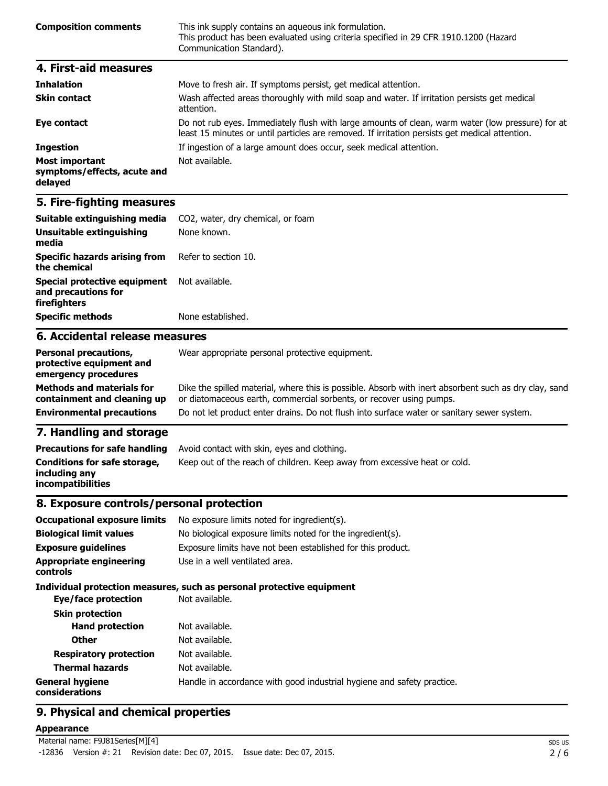| <b>Composition comments</b> | This ink supply contains an aqueous ink formulation.<br>This product has been evaluated using criteria specified in 29 CFR 1910.1200 (Hazard<br>Communication Standard). |
|-----------------------------|--------------------------------------------------------------------------------------------------------------------------------------------------------------------------|
| 4. First-aid measures       |                                                                                                                                                                          |

| <b>Inhalation</b>                                               | Move to fresh air. If symptoms persist, get medical attention.                                                                                                                                     |
|-----------------------------------------------------------------|----------------------------------------------------------------------------------------------------------------------------------------------------------------------------------------------------|
| <b>Skin contact</b>                                             | Wash affected areas thoroughly with mild soap and water. If irritation persists get medical<br>attention.                                                                                          |
| Eye contact                                                     | Do not rub eyes. Immediately flush with large amounts of clean, warm water (low pressure) for at<br>least 15 minutes or until particles are removed. If irritation persists get medical attention. |
| <b>Ingestion</b>                                                | If ingestion of a large amount does occur, seek medical attention.                                                                                                                                 |
| <b>Most important</b><br>symptoms/effects, acute and<br>delayed | Not available.                                                                                                                                                                                     |

# **5. Fire-fighting measures**

| C. Assidentel velopes messeures                                     |                                   |
|---------------------------------------------------------------------|-----------------------------------|
| <b>Specific methods</b>                                             | None established.                 |
| Special protective equipment<br>and precautions for<br>firefighters | Not available.                    |
| <b>Specific hazards arising from</b><br>the chemical                | Refer to section 10.              |
| Unsuitable extinguishing<br>media                                   | None known.                       |
| Suitable extinguishing media                                        | CO2, water, dry chemical, or foam |

#### **6. Accidental release measures**

| <b>Personal precautions,</b><br>protective equipment and<br>emergency procedures | Wear appropriate personal protective equipment.                                                                                                                              |
|----------------------------------------------------------------------------------|------------------------------------------------------------------------------------------------------------------------------------------------------------------------------|
| <b>Methods and materials for</b><br>containment and cleaning up                  | Dike the spilled material, where this is possible. Absorb with inert absorbent such as dry clay, sand<br>or diatomaceous earth, commercial sorbents, or recover using pumps. |
| <b>Environmental precautions</b>                                                 | Do not let product enter drains. Do not flush into surface water or sanitary sewer system.                                                                                   |
| <b>T</b> Handling and above an                                                   |                                                                                                                                                                              |

#### **7. Handling and storage**

| <b>Precautions for safe handling</b>                                      | Avoid contact with skin, eyes and clothing.                               |
|---------------------------------------------------------------------------|---------------------------------------------------------------------------|
| Conditions for safe storage,<br>including any<br><i>incompatibilities</i> | Keep out of the reach of children. Keep away from excessive heat or cold. |

# **8. Exposure controls/personal protection**

| <b>Occupational exposure limits</b><br><b>Biological limit values</b><br><b>Exposure quidelines</b><br><b>Appropriate engineering</b><br><b>controls</b> | No exposure limits noted for ingredient(s).<br>No biological exposure limits noted for the ingredient(s).<br>Exposure limits have not been established for this product.<br>Use in a well ventilated area. |
|----------------------------------------------------------------------------------------------------------------------------------------------------------|------------------------------------------------------------------------------------------------------------------------------------------------------------------------------------------------------------|
| Eye/face protection                                                                                                                                      | Individual protection measures, such as personal protective equipment<br>Not available.                                                                                                                    |
| <b>Skin protection</b><br><b>Hand protection</b><br><b>Other</b><br><b>Respiratory protection</b><br><b>Thermal hazards</b>                              | Not available.<br>Not available.<br>Not available.<br>Not available.                                                                                                                                       |
| <b>General hygiene</b><br>considerations                                                                                                                 | Handle in accordance with good industrial hygiene and safety practice.                                                                                                                                     |

# **9. Physical and chemical properties**

#### **Appearance**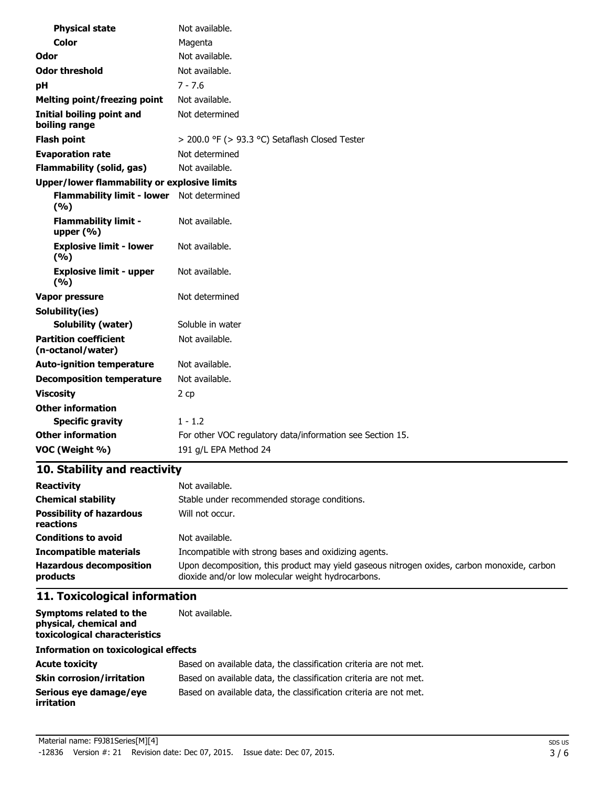| <b>Physical state</b>                               | Not available.                                            |  |
|-----------------------------------------------------|-----------------------------------------------------------|--|
| Color                                               | Magenta                                                   |  |
| Odor                                                | Not available.                                            |  |
| <b>Odor threshold</b>                               | Not available.                                            |  |
| pН                                                  | $7 - 7.6$                                                 |  |
| <b>Melting point/freezing point</b>                 | Not available.                                            |  |
| Initial boiling point and<br>boiling range          | Not determined                                            |  |
| <b>Flash point</b>                                  | > 200.0 °F (> 93.3 °C) Setaflash Closed Tester            |  |
| <b>Evaporation rate</b>                             | Not determined                                            |  |
| <b>Flammability (solid, gas)</b>                    | Not available.                                            |  |
| <b>Upper/lower flammability or explosive limits</b> |                                                           |  |
| <b>Flammability limit - lower</b><br>(%)            | Not determined                                            |  |
| <b>Flammability limit -</b><br>upper $(% )$         | Not available.                                            |  |
| <b>Explosive limit - lower</b><br>(9/6)             | Not available.                                            |  |
| <b>Explosive limit - upper</b><br>(%)               | Not available.                                            |  |
| Vapor pressure                                      | Not determined                                            |  |
| Solubility(ies)                                     |                                                           |  |
| <b>Solubility (water)</b>                           | Soluble in water                                          |  |
| <b>Partition coefficient</b><br>(n-octanol/water)   | Not available.                                            |  |
| <b>Auto-ignition temperature</b>                    | Not available.                                            |  |
| <b>Decomposition temperature</b>                    | Not available.                                            |  |
| <b>Viscosity</b>                                    | 2 cp                                                      |  |
| <b>Other information</b>                            |                                                           |  |
| <b>Specific gravity</b>                             | $1 - 1.2$                                                 |  |
| <b>Other information</b>                            | For other VOC regulatory data/information see Section 15. |  |
| VOC (Weight %)                                      | 191 g/L EPA Method 24                                     |  |

# **10. Stability and reactivity**

| <b>Reactivity</b>                            | Not available.                                                                                                                                   |
|----------------------------------------------|--------------------------------------------------------------------------------------------------------------------------------------------------|
| <b>Chemical stability</b>                    | Stable under recommended storage conditions.                                                                                                     |
| <b>Possibility of hazardous</b><br>reactions | Will not occur.                                                                                                                                  |
| <b>Conditions to avoid</b>                   | Not available.                                                                                                                                   |
| <b>Incompatible materials</b>                | Incompatible with strong bases and oxidizing agents.                                                                                             |
| <b>Hazardous decomposition</b><br>products   | Upon decomposition, this product may yield gaseous nitrogen oxides, carbon monoxide, carbon<br>dioxide and/or low molecular weight hydrocarbons. |

# **11. Toxicological information**

| Symptoms related to the<br>physical, chemical and<br>toxicological characteristics | Not available.                                                    |  |
|------------------------------------------------------------------------------------|-------------------------------------------------------------------|--|
| <b>Information on toxicological effects</b>                                        |                                                                   |  |
| <b>Acute toxicity</b>                                                              | Based on available data, the classification criteria are not met. |  |
| <b>Skin corrosion/irritation</b>                                                   | Based on available data, the classification criteria are not met. |  |
| Serious eye damage/eye<br>irritation                                               | Based on available data, the classification criteria are not met. |  |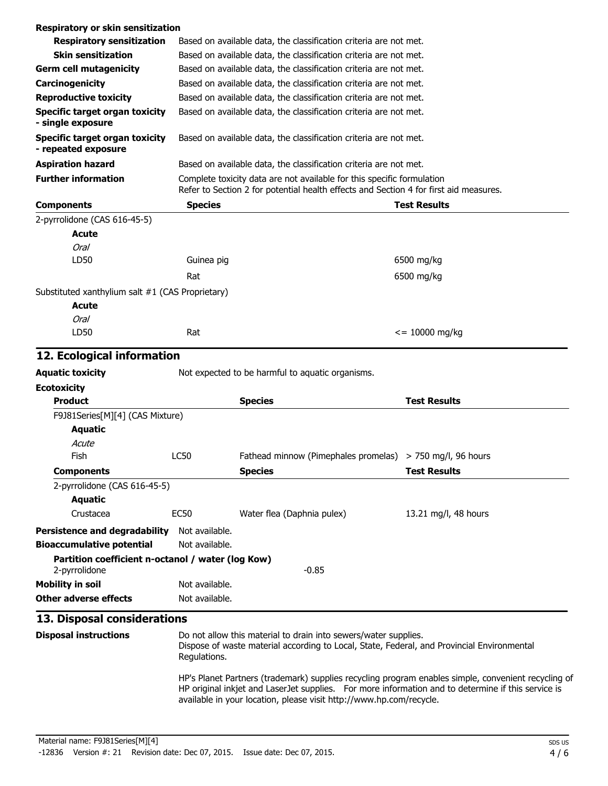| Respiratory or skin sensitization                            |                                                                   |                                                                                                                                                                 |                                                                                                                                                                                                           |  |
|--------------------------------------------------------------|-------------------------------------------------------------------|-----------------------------------------------------------------------------------------------------------------------------------------------------------------|-----------------------------------------------------------------------------------------------------------------------------------------------------------------------------------------------------------|--|
| <b>Respiratory sensitization</b>                             |                                                                   | Based on available data, the classification criteria are not met.                                                                                               |                                                                                                                                                                                                           |  |
| <b>Skin sensitization</b>                                    |                                                                   | Based on available data, the classification criteria are not met.                                                                                               |                                                                                                                                                                                                           |  |
| <b>Germ cell mutagenicity</b>                                |                                                                   | Based on available data, the classification criteria are not met.                                                                                               |                                                                                                                                                                                                           |  |
| Carcinogenicity                                              | Based on available data, the classification criteria are not met. |                                                                                                                                                                 |                                                                                                                                                                                                           |  |
| <b>Reproductive toxicity</b>                                 |                                                                   | Based on available data, the classification criteria are not met.                                                                                               |                                                                                                                                                                                                           |  |
| Specific target organ toxicity<br>- single exposure          |                                                                   | Based on available data, the classification criteria are not met.                                                                                               |                                                                                                                                                                                                           |  |
| <b>Specific target organ toxicity</b><br>- repeated exposure |                                                                   | Based on available data, the classification criteria are not met.                                                                                               |                                                                                                                                                                                                           |  |
| <b>Aspiration hazard</b>                                     |                                                                   | Based on available data, the classification criteria are not met.                                                                                               |                                                                                                                                                                                                           |  |
| <b>Further information</b>                                   |                                                                   | Complete toxicity data are not available for this specific formulation<br>Refer to Section 2 for potential health effects and Section 4 for first aid measures. |                                                                                                                                                                                                           |  |
| <b>Components</b>                                            | <b>Species</b>                                                    |                                                                                                                                                                 | <b>Test Results</b>                                                                                                                                                                                       |  |
| 2-pyrrolidone (CAS 616-45-5)                                 |                                                                   |                                                                                                                                                                 |                                                                                                                                                                                                           |  |
| <b>Acute</b>                                                 |                                                                   |                                                                                                                                                                 |                                                                                                                                                                                                           |  |
| <b>Oral</b>                                                  |                                                                   |                                                                                                                                                                 |                                                                                                                                                                                                           |  |
| LD50                                                         | Guinea pig                                                        |                                                                                                                                                                 | 6500 mg/kg                                                                                                                                                                                                |  |
|                                                              | Rat                                                               |                                                                                                                                                                 | 6500 mg/kg                                                                                                                                                                                                |  |
| Substituted xanthylium salt #1 (CAS Proprietary)             |                                                                   |                                                                                                                                                                 |                                                                                                                                                                                                           |  |
| Acute                                                        |                                                                   |                                                                                                                                                                 |                                                                                                                                                                                                           |  |
| <b>Oral</b>                                                  |                                                                   |                                                                                                                                                                 |                                                                                                                                                                                                           |  |
| LD50                                                         | Rat                                                               |                                                                                                                                                                 | $\epsilon$ = 10000 mg/kg                                                                                                                                                                                  |  |
|                                                              |                                                                   |                                                                                                                                                                 |                                                                                                                                                                                                           |  |
| 12. Ecological information                                   |                                                                   |                                                                                                                                                                 |                                                                                                                                                                                                           |  |
| <b>Aquatic toxicity</b>                                      |                                                                   | Not expected to be harmful to aquatic organisms.                                                                                                                |                                                                                                                                                                                                           |  |
| <b>Ecotoxicity</b>                                           |                                                                   |                                                                                                                                                                 |                                                                                                                                                                                                           |  |
| <b>Product</b>                                               |                                                                   | <b>Species</b>                                                                                                                                                  | <b>Test Results</b>                                                                                                                                                                                       |  |
| F9J81Series[M][4] (CAS Mixture)                              |                                                                   |                                                                                                                                                                 |                                                                                                                                                                                                           |  |
| <b>Aquatic</b>                                               |                                                                   |                                                                                                                                                                 |                                                                                                                                                                                                           |  |
| Acute                                                        |                                                                   |                                                                                                                                                                 |                                                                                                                                                                                                           |  |
| Fish                                                         | <b>LC50</b>                                                       | Fathead minnow (Pimephales promelas) > 750 mg/l, 96 hours                                                                                                       |                                                                                                                                                                                                           |  |
| <b>Components</b>                                            |                                                                   | <b>Species</b>                                                                                                                                                  | <b>Test Results</b>                                                                                                                                                                                       |  |
| 2-pyrrolidone (CAS 616-45-5)                                 |                                                                   |                                                                                                                                                                 |                                                                                                                                                                                                           |  |
| <b>Aquatic</b><br>Crustacea                                  |                                                                   |                                                                                                                                                                 |                                                                                                                                                                                                           |  |
|                                                              | EC <sub>50</sub>                                                  | Water flea (Daphnia pulex)                                                                                                                                      | 13.21 mg/l, 48 hours                                                                                                                                                                                      |  |
| <b>Persistence and degradability</b>                         | Not available.                                                    |                                                                                                                                                                 |                                                                                                                                                                                                           |  |
| <b>Bioaccumulative potential</b>                             | Not available.                                                    |                                                                                                                                                                 |                                                                                                                                                                                                           |  |
| Partition coefficient n-octanol / water (log Kow)            |                                                                   |                                                                                                                                                                 |                                                                                                                                                                                                           |  |
| 2-pyrrolidone                                                |                                                                   | $-0.85$                                                                                                                                                         |                                                                                                                                                                                                           |  |
| <b>Mobility in soil</b>                                      | Not available.                                                    |                                                                                                                                                                 |                                                                                                                                                                                                           |  |
| <b>Other adverse effects</b>                                 | Not available.                                                    |                                                                                                                                                                 |                                                                                                                                                                                                           |  |
| 13. Disposal considerations                                  |                                                                   |                                                                                                                                                                 |                                                                                                                                                                                                           |  |
| <b>Disposal instructions</b>                                 | Regulations.                                                      | Do not allow this material to drain into sewers/water supplies.<br>Dispose of waste material according to Local, State, Federal, and Provincial Environmental   |                                                                                                                                                                                                           |  |
|                                                              |                                                                   |                                                                                                                                                                 | HP's Planet Partners (trademark) supplies recycling program enables simple, convenient recycling of<br>HP original inkjet and LaserJet supplies. For more information and to determine if this service is |  |

available in your location, please visit http://www.hp.com/recycle.

Material name: F9J81Series[M][4] -12836 Version #: 21 Revision date: Dec 07, 2015. Issue date: Dec 07, 2015.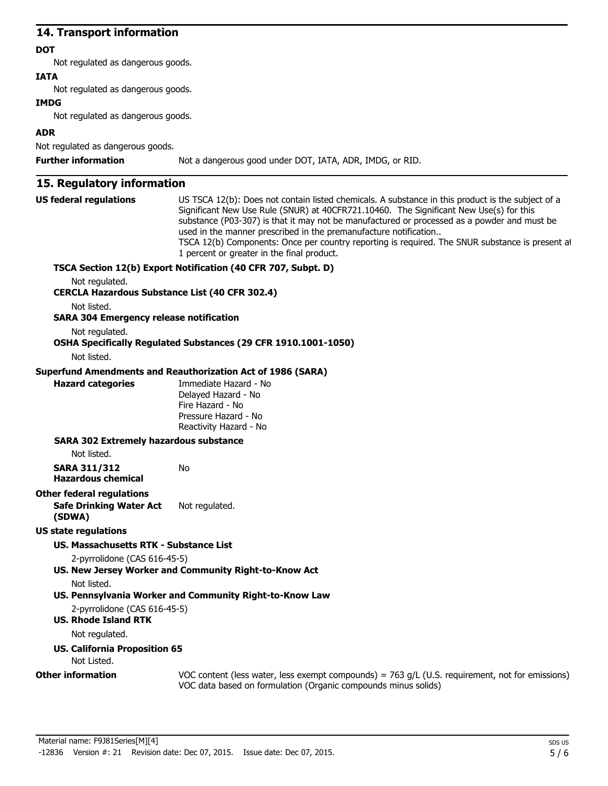# **14. Transport information**

#### **DOT**

Not regulated as dangerous goods.

#### **IATA**

Not regulated as dangerous goods.

#### **IMDG**

Not regulated as dangerous goods.

# **ADR**

Not regulated as dangerous goods.

**Further information** Not a dangerous good under DOT, IATA, ADR, IMDG, or RID.

# **15. Regulatory information**

| <b>US federal regulations</b>                         | US TSCA 12(b): Does not contain listed chemicals. A substance in this product is the subject of a<br>Significant New Use Rule (SNUR) at 40CFR721.10460. The Significant New Use(s) for this<br>substance (P03-307) is that it may not be manufactured or processed as a powder and must be<br>used in the manner prescribed in the premanufacture notification<br>TSCA 12(b) Components: Once per country reporting is required. The SNUR substance is present at<br>1 percent or greater in the final product. |
|-------------------------------------------------------|-----------------------------------------------------------------------------------------------------------------------------------------------------------------------------------------------------------------------------------------------------------------------------------------------------------------------------------------------------------------------------------------------------------------------------------------------------------------------------------------------------------------|
|                                                       | TSCA Section 12(b) Export Notification (40 CFR 707, Subpt. D)                                                                                                                                                                                                                                                                                                                                                                                                                                                   |
| Not regulated.                                        |                                                                                                                                                                                                                                                                                                                                                                                                                                                                                                                 |
| <b>CERCLA Hazardous Substance List (40 CFR 302.4)</b> |                                                                                                                                                                                                                                                                                                                                                                                                                                                                                                                 |
| Not listed.                                           |                                                                                                                                                                                                                                                                                                                                                                                                                                                                                                                 |
| <b>SARA 304 Emergency release notification</b>        |                                                                                                                                                                                                                                                                                                                                                                                                                                                                                                                 |
| Not regulated.                                        | OSHA Specifically Regulated Substances (29 CFR 1910.1001-1050)                                                                                                                                                                                                                                                                                                                                                                                                                                                  |
| Not listed.                                           |                                                                                                                                                                                                                                                                                                                                                                                                                                                                                                                 |
|                                                       | <b>Superfund Amendments and Reauthorization Act of 1986 (SARA)</b>                                                                                                                                                                                                                                                                                                                                                                                                                                              |
| <b>Hazard categories</b>                              | Immediate Hazard - No<br>Delaved Hazard - No<br>Fire Hazard - No<br>Pressure Hazard - No<br>Reactivity Hazard - No                                                                                                                                                                                                                                                                                                                                                                                              |
| <b>SARA 302 Extremely hazardous substance</b>         |                                                                                                                                                                                                                                                                                                                                                                                                                                                                                                                 |
| Not listed.                                           |                                                                                                                                                                                                                                                                                                                                                                                                                                                                                                                 |
| <b>SARA 311/312</b><br><b>Hazardous chemical</b>      | No                                                                                                                                                                                                                                                                                                                                                                                                                                                                                                              |
| <b>Other federal regulations</b>                      |                                                                                                                                                                                                                                                                                                                                                                                                                                                                                                                 |
| <b>Safe Drinking Water Act</b><br>(SDWA)              | Not regulated.                                                                                                                                                                                                                                                                                                                                                                                                                                                                                                  |
| US state regulations                                  |                                                                                                                                                                                                                                                                                                                                                                                                                                                                                                                 |
| US. Massachusetts RTK - Substance List                |                                                                                                                                                                                                                                                                                                                                                                                                                                                                                                                 |
| 2-pyrrolidone (CAS 616-45-5)                          | US. New Jersey Worker and Community Right-to-Know Act                                                                                                                                                                                                                                                                                                                                                                                                                                                           |
| Not listed.                                           |                                                                                                                                                                                                                                                                                                                                                                                                                                                                                                                 |
|                                                       | US. Pennsylvania Worker and Community Right-to-Know Law                                                                                                                                                                                                                                                                                                                                                                                                                                                         |
| 2-pyrrolidone (CAS 616-45-5)                          |                                                                                                                                                                                                                                                                                                                                                                                                                                                                                                                 |
| <b>US. Rhode Island RTK</b>                           |                                                                                                                                                                                                                                                                                                                                                                                                                                                                                                                 |
| Not regulated.                                        |                                                                                                                                                                                                                                                                                                                                                                                                                                                                                                                 |
| <b>US. California Proposition 65</b><br>Not Listed.   |                                                                                                                                                                                                                                                                                                                                                                                                                                                                                                                 |
| <b>Other information</b>                              | VOC content (less water, less exempt compounds) = $763$ g/L (U.S. requirement, not for emissions)                                                                                                                                                                                                                                                                                                                                                                                                               |
|                                                       | VOC data based on formulation (Organic compounds minus solids)                                                                                                                                                                                                                                                                                                                                                                                                                                                  |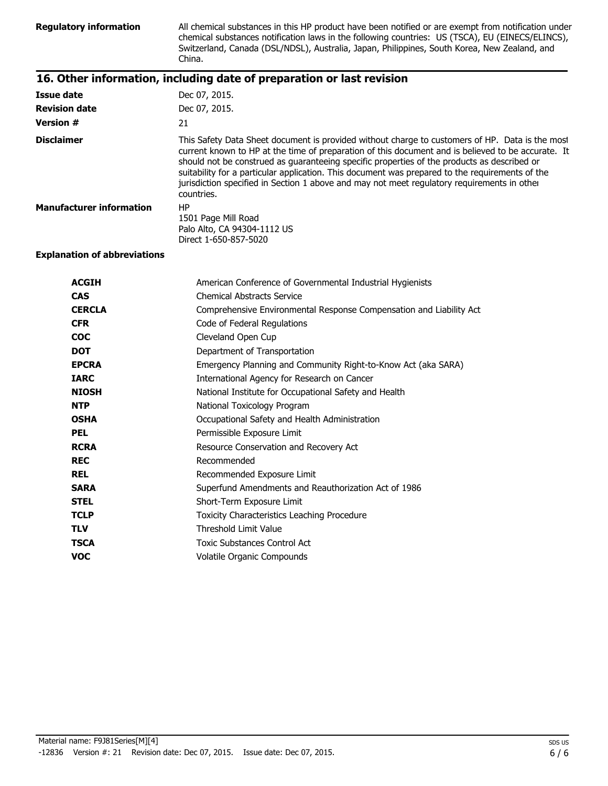Regulatory information All chemical substances in this HP product have been notified or are exempt from notification under chemical substances notification laws in the following countries: US (TSCA), EU (EINECS/ELINCS), Switzerland, Canada (DSL/NDSL), Australia, Japan, Philippines, South Korea, New Zealand, and China.

# **16. Other information, including date of preparation or last revision**

| <b>Issue date</b>               | Dec 07, 2015.                                                                                                                                                                                                                                                                                                                                                                                                                                                                                                        |
|---------------------------------|----------------------------------------------------------------------------------------------------------------------------------------------------------------------------------------------------------------------------------------------------------------------------------------------------------------------------------------------------------------------------------------------------------------------------------------------------------------------------------------------------------------------|
| <b>Revision date</b>            | Dec 07, 2015.                                                                                                                                                                                                                                                                                                                                                                                                                                                                                                        |
| <b>Version #</b>                | 21                                                                                                                                                                                                                                                                                                                                                                                                                                                                                                                   |
| <b>Disclaimer</b>               | This Safety Data Sheet document is provided without charge to customers of HP. Data is the most<br>current known to HP at the time of preparation of this document and is believed to be accurate. It<br>should not be construed as guaranteeing specific properties of the products as described or<br>suitability for a particular application. This document was prepared to the requirements of the<br>jurisdiction specified in Section 1 above and may not meet regulatory requirements in other<br>countries. |
| <b>Manufacturer information</b> | HP<br>1501 Page Mill Road<br>Palo Alto, CA 94304-1112 US<br>Direct 1-650-857-5020                                                                                                                                                                                                                                                                                                                                                                                                                                    |

#### **Explanation of abbreviations**

| <b>ACGIH</b>  | American Conference of Governmental Industrial Hygienists           |
|---------------|---------------------------------------------------------------------|
| <b>CAS</b>    | <b>Chemical Abstracts Service</b>                                   |
| <b>CERCLA</b> | Comprehensive Environmental Response Compensation and Liability Act |
| <b>CFR</b>    | Code of Federal Regulations                                         |
| <b>COC</b>    | Cleveland Open Cup                                                  |
| <b>DOT</b>    | Department of Transportation                                        |
| <b>EPCRA</b>  | Emergency Planning and Community Right-to-Know Act (aka SARA)       |
| <b>IARC</b>   | International Agency for Research on Cancer                         |
| <b>NIOSH</b>  | National Institute for Occupational Safety and Health               |
| <b>NTP</b>    | National Toxicology Program                                         |
| <b>OSHA</b>   | Occupational Safety and Health Administration                       |
| <b>PEL</b>    | Permissible Exposure Limit                                          |
| <b>RCRA</b>   | Resource Conservation and Recovery Act                              |
| <b>REC</b>    | Recommended                                                         |
| <b>REL</b>    | Recommended Exposure Limit                                          |
| <b>SARA</b>   | Superfund Amendments and Reauthorization Act of 1986                |
| <b>STEL</b>   | Short-Term Exposure Limit                                           |
| <b>TCLP</b>   | <b>Toxicity Characteristics Leaching Procedure</b>                  |
| <b>TLV</b>    | Threshold Limit Value                                               |
| <b>TSCA</b>   | Toxic Substances Control Act                                        |
| <b>VOC</b>    | Volatile Organic Compounds                                          |
|               |                                                                     |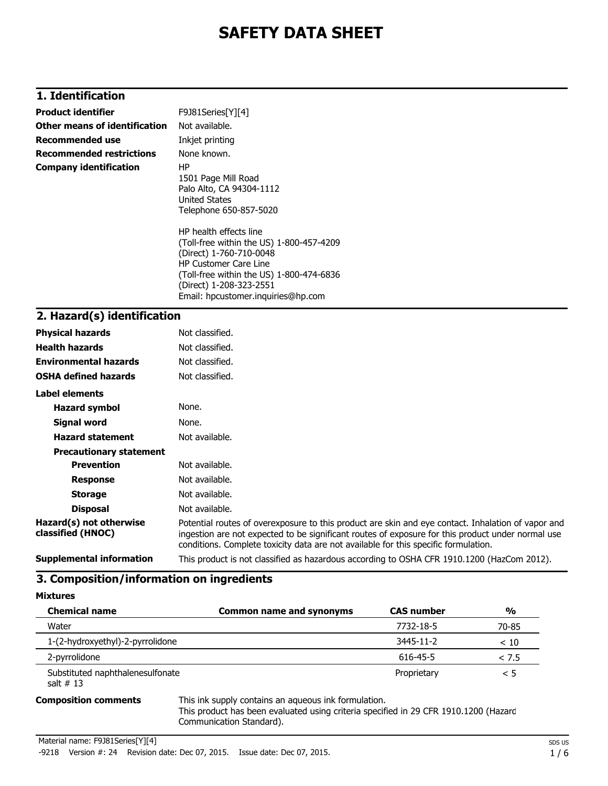# **SAFETY DATA SHEET**

# **1. Identification**

| <b>Product identifier</b>       | F9J81Series[Y][4]                                                                                                                                                                                                                                                                                                                               |
|---------------------------------|-------------------------------------------------------------------------------------------------------------------------------------------------------------------------------------------------------------------------------------------------------------------------------------------------------------------------------------------------|
| Other means of identification   | Not available.                                                                                                                                                                                                                                                                                                                                  |
| <b>Recommended use</b>          | Inkjet printing                                                                                                                                                                                                                                                                                                                                 |
| <b>Recommended restrictions</b> | None known.                                                                                                                                                                                                                                                                                                                                     |
| <b>Company identification</b>   | HP.<br>1501 Page Mill Road<br>Palo Alto, CA 94304-1112<br>United States<br>Telephone 650-857-5020<br>HP health effects line<br>(Toll-free within the US) 1-800-457-4209<br>(Direct) 1-760-710-0048<br><b>HP Customer Care Line</b><br>(Toll-free within the US) 1-800-474-6836<br>(Direct) 1-208-323-2551<br>Email: hpcustomer.inguiries@hp.com |

### **2. Hazard(s) identification**

| <b>Physical hazards</b>                      | Not classified.                                                                                                                                                                                                                                                                                |
|----------------------------------------------|------------------------------------------------------------------------------------------------------------------------------------------------------------------------------------------------------------------------------------------------------------------------------------------------|
| <b>Health hazards</b>                        | Not classified.                                                                                                                                                                                                                                                                                |
| <b>Environmental hazards</b>                 | Not classified.                                                                                                                                                                                                                                                                                |
| <b>OSHA defined hazards</b>                  | Not classified.                                                                                                                                                                                                                                                                                |
| <b>Label elements</b>                        |                                                                                                                                                                                                                                                                                                |
| <b>Hazard symbol</b>                         | None.                                                                                                                                                                                                                                                                                          |
| Signal word                                  | None.                                                                                                                                                                                                                                                                                          |
| <b>Hazard statement</b>                      | Not available.                                                                                                                                                                                                                                                                                 |
| <b>Precautionary statement</b>               |                                                                                                                                                                                                                                                                                                |
| <b>Prevention</b>                            | Not available.                                                                                                                                                                                                                                                                                 |
| <b>Response</b>                              | Not available.                                                                                                                                                                                                                                                                                 |
| <b>Storage</b>                               | Not available.                                                                                                                                                                                                                                                                                 |
| <b>Disposal</b>                              | Not available.                                                                                                                                                                                                                                                                                 |
| Hazard(s) not otherwise<br>classified (HNOC) | Potential routes of overexposure to this product are skin and eye contact. Inhalation of vapor and<br>ingestion are not expected to be significant routes of exposure for this product under normal use<br>conditions. Complete toxicity data are not available for this specific formulation. |
| <b>Supplemental information</b>              | This product is not classified as hazardous according to OSHA CFR 1910.1200 (HazCom 2012).                                                                                                                                                                                                     |

### **3. Composition/information on ingredients**

**Mixtures**

| <b>Chemical name</b>                            | <b>Common name and synonyms</b> | <b>CAS number</b> | $\frac{0}{0}$ |
|-------------------------------------------------|---------------------------------|-------------------|---------------|
| Water                                           |                                 | 7732-18-5         | 70-85         |
| 1-(2-hydroxyethyl)-2-pyrrolidone                |                                 | 3445-11-2         | < 10          |
| 2-pyrrolidone                                   |                                 | 616-45-5          | < 7.5         |
| Substituted naphthalenesulfonate<br>salt $# 13$ |                                 | Proprietary       | $\leq 5$      |

**Composition comments** This ink supply contains an aqueous ink formulation.

This product has been evaluated using criteria specified in 29 CFR 1910.1200 (Hazard Communication Standard).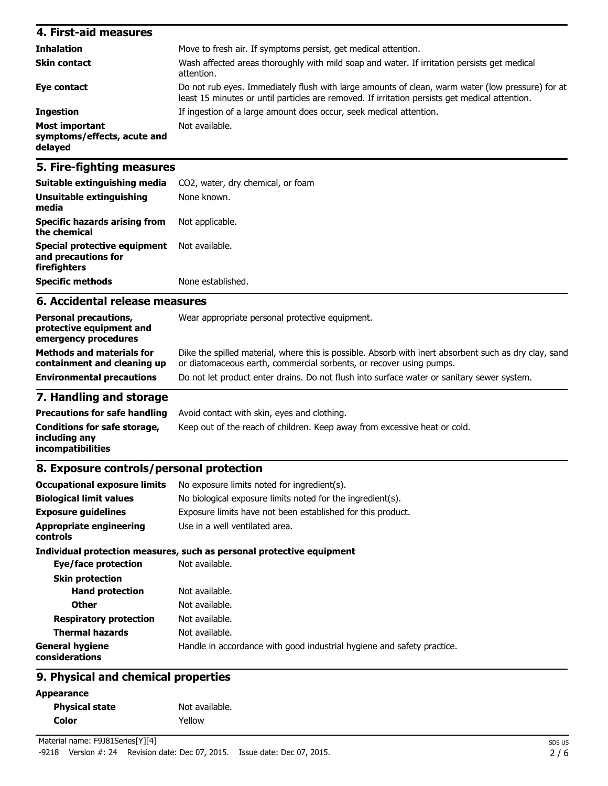#### **4. First-aid measures Inhalation** Move to fresh air. If symptoms persist, get medical attention. **Skin contact** Wash affected areas thoroughly with mild soap and water. If irritation persists get medical attention. **Eye contact** Do not rub eyes. Immediately flush with large amounts of clean, warm water (low pressure) for at least 15 minutes or until particles are removed. If irritation persists get medical attention. **Ingestion** If ingestion of a large amount does occur, seek medical attention. **Most important symptoms/effects, acute and delayed** Not available.

### **5. Fire-fighting measures**

| firefighters<br><b>Specific methods</b>              | None established.                              |
|------------------------------------------------------|------------------------------------------------|
| Special protective equipment<br>and precautions for  | Not available.                                 |
| <b>Specific hazards arising from</b><br>the chemical | Not applicable.                                |
| Unsuitable extinguishing<br>media                    | None known.                                    |
| Suitable extinguishing media                         | CO <sub>2</sub> , water, dry chemical, or foam |

### **6. Accidental release measures**

| <b>Personal precautions,</b><br>protective equipment and<br>emergency procedures | Wear appropriate personal protective equipment.                                                                                                                              |
|----------------------------------------------------------------------------------|------------------------------------------------------------------------------------------------------------------------------------------------------------------------------|
| <b>Methods and materials for</b><br>containment and cleaning up                  | Dike the spilled material, where this is possible. Absorb with inert absorbent such as dry clay, sand<br>or diatomaceous earth, commercial sorbents, or recover using pumps. |
| <b>Environmental precautions</b>                                                 | Do not let product enter drains. Do not flush into surface water or sanitary sewer system.                                                                                   |

### **7. Handling and storage**

|                                               | <b>Precautions for safe handling</b> Avoid contact with skin, eyes and clothing. |
|-----------------------------------------------|----------------------------------------------------------------------------------|
| Conditions for safe storage,<br>includina anv | Keep out of the reach of children. Keep away from excessive heat or cold.        |
| incompatibilities                             |                                                                                  |

#### **8. Exposure controls/personal protection**

| <b>Occupational exposure limits</b>        | No exposure limits noted for ingredient(s).                            |
|--------------------------------------------|------------------------------------------------------------------------|
| <b>Biological limit values</b>             | No biological exposure limits noted for the ingredient(s).             |
| <b>Exposure guidelines</b>                 | Exposure limits have not been established for this product.            |
| <b>Appropriate engineering</b><br>controls | Use in a well ventilated area.                                         |
|                                            | Individual protection measures, such as personal protective equipment  |
| Eye/face protection                        | Not available.                                                         |
| <b>Skin protection</b>                     |                                                                        |
| <b>Hand protection</b>                     | Not available.                                                         |
| <b>Other</b>                               | Not available.                                                         |
| <b>Respiratory protection</b>              | Not available.                                                         |
| <b>Thermal hazards</b>                     | Not available.                                                         |
| <b>General hygiene</b><br>considerations   | Handle in accordance with good industrial hygiene and safety practice. |
|                                            |                                                                        |

# **9. Physical and chemical properties**

| <b>Appearance</b> |
|-------------------|
|-------------------|

| <b>Physical state</b> | Not available. |
|-----------------------|----------------|
| Color                 | Yellow         |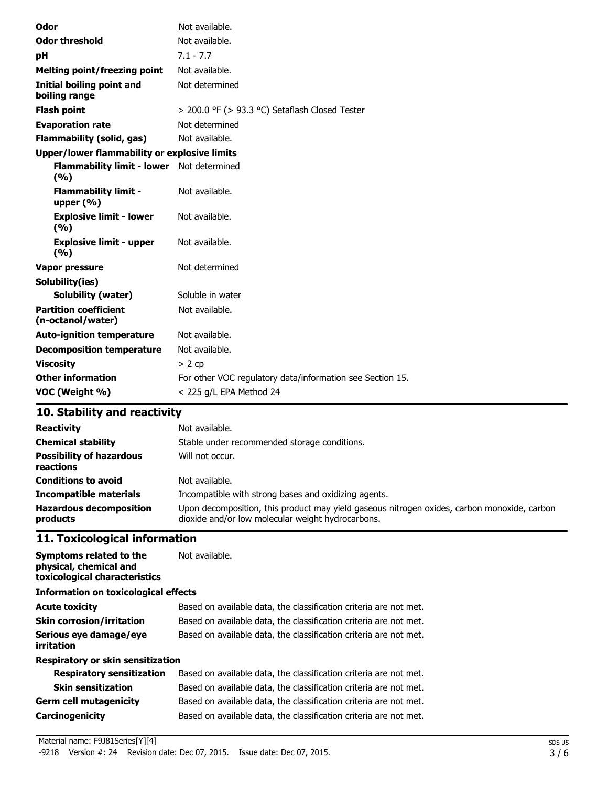| Odor                                                      | Not available.                                            |
|-----------------------------------------------------------|-----------------------------------------------------------|
| <b>Odor threshold</b>                                     | Not available.                                            |
| pH                                                        | $7.1 - 7.7$                                               |
| <b>Melting point/freezing point</b>                       | Not available.                                            |
| Initial boiling point and<br>boiling range                | Not determined                                            |
| <b>Flash point</b>                                        | > 200.0 °F (> 93.3 °C) Setaflash Closed Tester            |
| <b>Evaporation rate</b>                                   | Not determined                                            |
| <b>Flammability (solid, gas)</b>                          | Not available.                                            |
| Upper/lower flammability or explosive limits              |                                                           |
| <b>Flammability limit - lower</b> Not determined<br>(9/6) |                                                           |
| <b>Flammability limit -</b><br>upper $(% )$               | Not available.                                            |
| <b>Explosive limit - lower</b><br>(%)                     | Not available.                                            |
| <b>Explosive limit - upper</b><br>(%)                     | Not available.                                            |
| Vapor pressure                                            | Not determined                                            |
| Solubility(ies)                                           |                                                           |
| <b>Solubility (water)</b>                                 | Soluble in water                                          |
| <b>Partition coefficient</b><br>(n-octanol/water)         | Not available.                                            |
| <b>Auto-ignition temperature</b>                          | Not available.                                            |
| <b>Decomposition temperature</b>                          | Not available.                                            |
| <b>Viscosity</b>                                          | $> 2$ cp                                                  |
| <b>Other information</b>                                  | For other VOC regulatory data/information see Section 15. |
| VOC (Weight %)                                            | $<$ 225 g/L EPA Method 24                                 |

# **10. Stability and reactivity**

| <b>Reactivity</b><br><b>Chemical stability</b><br><b>Possibility of hazardous</b><br>reactions | Not available.<br>Stable under recommended storage conditions.<br>Will not occur.                                                                |
|------------------------------------------------------------------------------------------------|--------------------------------------------------------------------------------------------------------------------------------------------------|
| <b>Conditions to avoid</b>                                                                     | Not available.                                                                                                                                   |
| <b>Incompatible materials</b>                                                                  | Incompatible with strong bases and oxidizing agents.                                                                                             |
| <b>Hazardous decomposition</b><br>products                                                     | Upon decomposition, this product may yield gaseous nitrogen oxides, carbon monoxide, carbon<br>dioxide and/or low molecular weight hydrocarbons. |

# **11. Toxicological information**

| Symptoms related to the<br>physical, chemical and<br>toxicological characteristics | Not available.                                                    |  |  |  |
|------------------------------------------------------------------------------------|-------------------------------------------------------------------|--|--|--|
| Information on toxicological effects                                               |                                                                   |  |  |  |
| <b>Acute toxicity</b>                                                              | Based on available data, the classification criteria are not met. |  |  |  |
| <b>Skin corrosion/irritation</b>                                                   | Based on available data, the classification criteria are not met. |  |  |  |
| Serious eye damage/eye<br>irritation                                               | Based on available data, the classification criteria are not met. |  |  |  |
| Respiratory or skin sensitization                                                  |                                                                   |  |  |  |
| <b>Respiratory sensitization</b>                                                   | Based on available data, the classification criteria are not met. |  |  |  |
| <b>Skin sensitization</b>                                                          | Based on available data, the classification criteria are not met. |  |  |  |
| <b>Germ cell mutagenicity</b>                                                      | Based on available data, the classification criteria are not met. |  |  |  |
| <b>Carcinogenicity</b>                                                             | Based on available data, the classification criteria are not met. |  |  |  |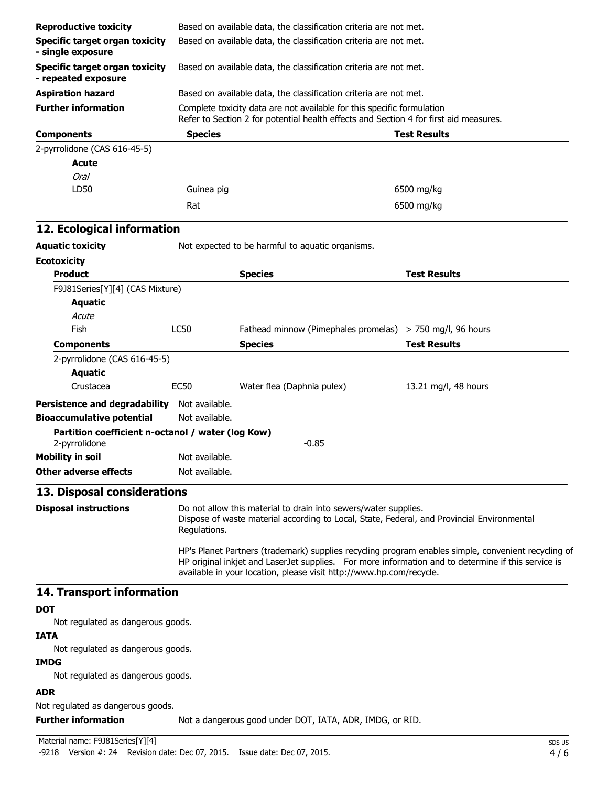| <b>Reproductive toxicity</b>                                       |                                                                                                                                                                               | Based on available data, the classification criteria are not met.                                                                                                         |                                                                                                     |  |  |
|--------------------------------------------------------------------|-------------------------------------------------------------------------------------------------------------------------------------------------------------------------------|---------------------------------------------------------------------------------------------------------------------------------------------------------------------------|-----------------------------------------------------------------------------------------------------|--|--|
| <b>Specific target organ toxicity</b><br>- single exposure         |                                                                                                                                                                               | Based on available data, the classification criteria are not met.                                                                                                         |                                                                                                     |  |  |
| Specific target organ toxicity<br>- repeated exposure              |                                                                                                                                                                               | Based on available data, the classification criteria are not met.                                                                                                         |                                                                                                     |  |  |
| <b>Aspiration hazard</b>                                           |                                                                                                                                                                               | Based on available data, the classification criteria are not met.                                                                                                         |                                                                                                     |  |  |
| <b>Further information</b>                                         |                                                                                                                                                                               | Complete toxicity data are not available for this specific formulation<br>Refer to Section 2 for potential health effects and Section 4 for first aid measures.           |                                                                                                     |  |  |
| <b>Components</b>                                                  | <b>Species</b>                                                                                                                                                                |                                                                                                                                                                           | <b>Test Results</b>                                                                                 |  |  |
| 2-pyrrolidone (CAS 616-45-5)<br>Acute<br><b>Oral</b>               |                                                                                                                                                                               |                                                                                                                                                                           |                                                                                                     |  |  |
| LD50                                                               | Guinea pig                                                                                                                                                                    |                                                                                                                                                                           | 6500 mg/kg                                                                                          |  |  |
|                                                                    | Rat                                                                                                                                                                           |                                                                                                                                                                           | 6500 mg/kg                                                                                          |  |  |
| 12. Ecological information                                         |                                                                                                                                                                               |                                                                                                                                                                           |                                                                                                     |  |  |
| <b>Aquatic toxicity</b>                                            |                                                                                                                                                                               | Not expected to be harmful to aquatic organisms.                                                                                                                          |                                                                                                     |  |  |
| <b>Ecotoxicity</b>                                                 |                                                                                                                                                                               |                                                                                                                                                                           |                                                                                                     |  |  |
| <b>Product</b>                                                     |                                                                                                                                                                               | <b>Species</b>                                                                                                                                                            | <b>Test Results</b>                                                                                 |  |  |
| F9J81Series[Y][4] (CAS Mixture)                                    |                                                                                                                                                                               |                                                                                                                                                                           |                                                                                                     |  |  |
| <b>Aquatic</b>                                                     |                                                                                                                                                                               |                                                                                                                                                                           |                                                                                                     |  |  |
| Acute                                                              |                                                                                                                                                                               |                                                                                                                                                                           |                                                                                                     |  |  |
| Fish                                                               | <b>LC50</b>                                                                                                                                                                   | Fathead minnow (Pimephales promelas) $>$ 750 mg/l, 96 hours                                                                                                               |                                                                                                     |  |  |
| <b>Components</b>                                                  |                                                                                                                                                                               | <b>Species</b>                                                                                                                                                            | <b>Test Results</b>                                                                                 |  |  |
| 2-pyrrolidone (CAS 616-45-5)                                       |                                                                                                                                                                               |                                                                                                                                                                           |                                                                                                     |  |  |
| <b>Aquatic</b>                                                     |                                                                                                                                                                               |                                                                                                                                                                           |                                                                                                     |  |  |
| Crustacea                                                          | <b>EC50</b>                                                                                                                                                                   | Water flea (Daphnia pulex)                                                                                                                                                | 13.21 mg/l, 48 hours                                                                                |  |  |
| <b>Persistence and degradability</b>                               | Not available.                                                                                                                                                                |                                                                                                                                                                           |                                                                                                     |  |  |
| <b>Bioaccumulative potential</b>                                   | Not available.                                                                                                                                                                |                                                                                                                                                                           |                                                                                                     |  |  |
| Partition coefficient n-octanol / water (log Kow)<br>2-pyrrolidone |                                                                                                                                                                               | $-0.85$                                                                                                                                                                   |                                                                                                     |  |  |
| <b>Mobility in soil</b>                                            | Not available.                                                                                                                                                                |                                                                                                                                                                           |                                                                                                     |  |  |
| <b>Other adverse effects</b>                                       | Not available.                                                                                                                                                                |                                                                                                                                                                           |                                                                                                     |  |  |
| 13. Disposal considerations                                        |                                                                                                                                                                               |                                                                                                                                                                           |                                                                                                     |  |  |
| <b>Disposal instructions</b>                                       | Do not allow this material to drain into sewers/water supplies.<br>Dispose of waste material according to Local, State, Federal, and Provincial Environmental<br>Regulations. |                                                                                                                                                                           |                                                                                                     |  |  |
|                                                                    |                                                                                                                                                                               | HP original inkjet and LaserJet supplies. For more information and to determine if this service is<br>available in your location, please visit http://www.hp.com/recycle. | HP's Planet Partners (trademark) supplies recycling program enables simple, convenient recycling of |  |  |
| 14. Transport information                                          |                                                                                                                                                                               |                                                                                                                                                                           |                                                                                                     |  |  |
| <b>DOT</b>                                                         |                                                                                                                                                                               |                                                                                                                                                                           |                                                                                                     |  |  |
| Not regulated as dangerous goods.                                  |                                                                                                                                                                               |                                                                                                                                                                           |                                                                                                     |  |  |
| <b>IATA</b>                                                        |                                                                                                                                                                               |                                                                                                                                                                           |                                                                                                     |  |  |
| Not regulated as dangerous goods.                                  |                                                                                                                                                                               |                                                                                                                                                                           |                                                                                                     |  |  |
| <b>IMDG</b><br>Not regulated as dangerous goods.                   |                                                                                                                                                                               |                                                                                                                                                                           |                                                                                                     |  |  |
| <b>ADR</b>                                                         |                                                                                                                                                                               |                                                                                                                                                                           |                                                                                                     |  |  |
| Not regulated as dangerous goods.                                  |                                                                                                                                                                               |                                                                                                                                                                           |                                                                                                     |  |  |

**Further information** Not a dangerous good under DOT, IATA, ADR, IMDG, or RID.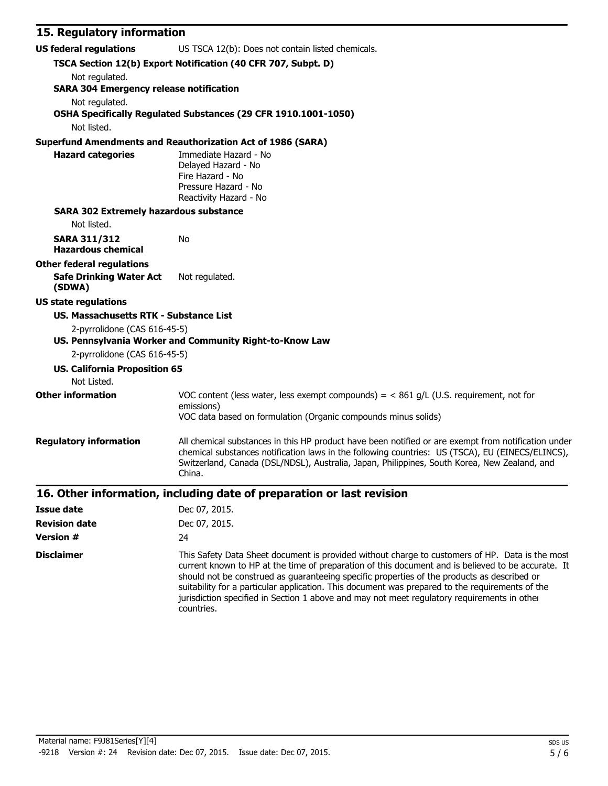| 15. Regulatory information                          |                                                                                                                                                                                                                                                                                                                                                                                                                                                                                                                      |  |  |
|-----------------------------------------------------|----------------------------------------------------------------------------------------------------------------------------------------------------------------------------------------------------------------------------------------------------------------------------------------------------------------------------------------------------------------------------------------------------------------------------------------------------------------------------------------------------------------------|--|--|
| <b>US federal regulations</b>                       | US TSCA 12(b): Does not contain listed chemicals.                                                                                                                                                                                                                                                                                                                                                                                                                                                                    |  |  |
|                                                     | TSCA Section 12(b) Export Notification (40 CFR 707, Subpt. D)                                                                                                                                                                                                                                                                                                                                                                                                                                                        |  |  |
| Not regulated.                                      |                                                                                                                                                                                                                                                                                                                                                                                                                                                                                                                      |  |  |
| <b>SARA 304 Emergency release notification</b>      |                                                                                                                                                                                                                                                                                                                                                                                                                                                                                                                      |  |  |
| Not regulated.                                      | OSHA Specifically Regulated Substances (29 CFR 1910.1001-1050)                                                                                                                                                                                                                                                                                                                                                                                                                                                       |  |  |
| Not listed.                                         |                                                                                                                                                                                                                                                                                                                                                                                                                                                                                                                      |  |  |
|                                                     | <b>Superfund Amendments and Reauthorization Act of 1986 (SARA)</b>                                                                                                                                                                                                                                                                                                                                                                                                                                                   |  |  |
| <b>Hazard categories</b>                            | Immediate Hazard - No<br>Delayed Hazard - No<br>Fire Hazard - No<br>Pressure Hazard - No<br>Reactivity Hazard - No                                                                                                                                                                                                                                                                                                                                                                                                   |  |  |
| <b>SARA 302 Extremely hazardous substance</b>       |                                                                                                                                                                                                                                                                                                                                                                                                                                                                                                                      |  |  |
| Not listed.                                         |                                                                                                                                                                                                                                                                                                                                                                                                                                                                                                                      |  |  |
| <b>SARA 311/312</b><br><b>Hazardous chemical</b>    | No                                                                                                                                                                                                                                                                                                                                                                                                                                                                                                                   |  |  |
| <b>Other federal regulations</b>                    |                                                                                                                                                                                                                                                                                                                                                                                                                                                                                                                      |  |  |
| <b>Safe Drinking Water Act</b><br>(SDWA)            | Not regulated.                                                                                                                                                                                                                                                                                                                                                                                                                                                                                                       |  |  |
| <b>US state regulations</b>                         |                                                                                                                                                                                                                                                                                                                                                                                                                                                                                                                      |  |  |
| <b>US. Massachusetts RTK - Substance List</b>       |                                                                                                                                                                                                                                                                                                                                                                                                                                                                                                                      |  |  |
| 2-pyrrolidone (CAS 616-45-5)                        | US. Pennsylvania Worker and Community Right-to-Know Law                                                                                                                                                                                                                                                                                                                                                                                                                                                              |  |  |
| 2-pyrrolidone (CAS 616-45-5)                        |                                                                                                                                                                                                                                                                                                                                                                                                                                                                                                                      |  |  |
| <b>US. California Proposition 65</b><br>Not Listed. |                                                                                                                                                                                                                                                                                                                                                                                                                                                                                                                      |  |  |
| <b>Other information</b>                            | VOC content (less water, less exempt compounds) = $<$ 861 g/L (U.S. requirement, not for                                                                                                                                                                                                                                                                                                                                                                                                                             |  |  |
|                                                     | emissions)<br>VOC data based on formulation (Organic compounds minus solids)                                                                                                                                                                                                                                                                                                                                                                                                                                         |  |  |
|                                                     |                                                                                                                                                                                                                                                                                                                                                                                                                                                                                                                      |  |  |
| <b>Regulatory information</b>                       | All chemical substances in this HP product have been notified or are exempt from notification under<br>chemical substances notification laws in the following countries: US (TSCA), EU (EINECS/ELINCS),<br>Switzerland, Canada (DSL/NDSL), Australia, Japan, Philippines, South Korea, New Zealand, and<br>China.                                                                                                                                                                                                    |  |  |
|                                                     | 16. Other information, including date of preparation or last revision                                                                                                                                                                                                                                                                                                                                                                                                                                                |  |  |
| <b>Issue date</b>                                   | Dec 07, 2015.                                                                                                                                                                                                                                                                                                                                                                                                                                                                                                        |  |  |
| <b>Revision date</b>                                | Dec 07, 2015.                                                                                                                                                                                                                                                                                                                                                                                                                                                                                                        |  |  |
| <b>Version #</b>                                    | 24                                                                                                                                                                                                                                                                                                                                                                                                                                                                                                                   |  |  |
| <b>Disclaimer</b>                                   | This Safety Data Sheet document is provided without charge to customers of HP. Data is the most<br>current known to HP at the time of preparation of this document and is believed to be accurate. It<br>should not be construed as guaranteeing specific properties of the products as described or<br>suitability for a particular application. This document was prepared to the requirements of the<br>jurisdiction specified in Section 1 above and may not meet regulatory requirements in other<br>countries. |  |  |